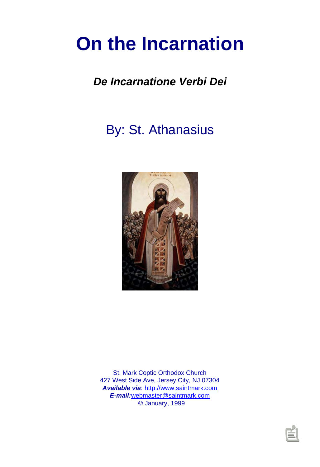# **On the Incarnation**

#### **De Incarnatione Verbi Dei**

### By: St. Athanasius



St. Mark Coptic Orthodox Church 427 West Side Ave, Jersey City, NJ 07304 **Available via**:<http://www.saintmark.com> **E-mail:**[webmaster@saintmark.com](mailto:webmaster@saintmark.com) © January, 1999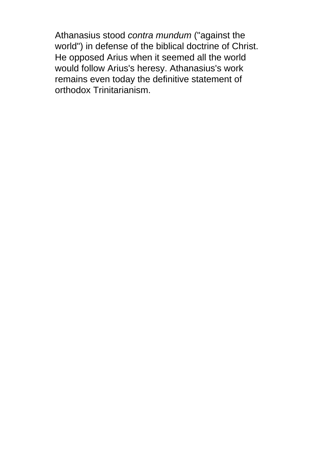Athanasius stood contra mundum ("against the world") in defense of the biblical doctrine of Christ. He opposed Arius when it seemed all the world would follow Arius's heresy. Athanasius's work remains even today the definitive statement of orthodox Trinitarianism.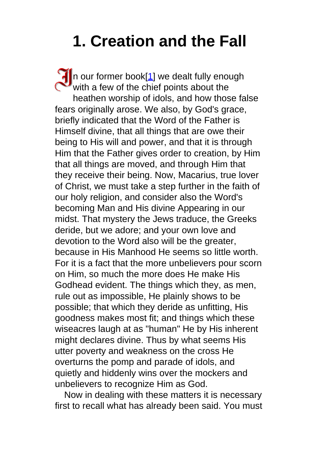## <span id="page-3-0"></span>**1. Creation and the Fall**

**[1](#page-10-0)** In our former book[1] we dealt fully enough with a few of the chief points about the heathen worship of idols, and how those false fears originally arose. We also, by God's grace, briefly indicated that the Word of the Father is Himself divine, that all things that are owe their being to His will and power, and that it is through Him that the Father gives order to creation, by Him that all things are moved, and through Him that they receive their being. Now, Macarius, true lover of Christ, we must take a step further in the faith of our holy religion, and consider also the Word's becoming Man and His divine Appearing in our midst. That mystery the Jews traduce, the Greeks deride, but we adore; and your own love and devotion to the Word also will be the greater, because in His Manhood He seems so little worth. For it is a fact that the more unbelievers pour scorn on Him, so much the more does He make His Godhead evident. The things which they, as men, rule out as impossible, He plainly shows to be possible; that which they deride as unfitting, His goodness makes most fit; and things which these wiseacres laugh at as "human" He by His inherent might declares divine. Thus by what seems His utter poverty and weakness on the cross He overturns the pomp and parade of idols, and quietly and hiddenly wins over the mockers and unbelievers to recognize Him as God.

Now in dealing with these matters it is necessary first to recall what has already been said. You must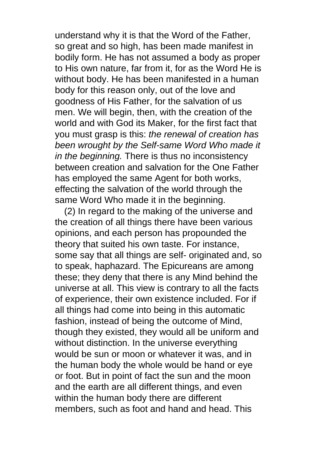understand why it is that the Word of the Father, so great and so high, has been made manifest in bodily form. He has not assumed a body as proper to His own nature, far from it, for as the Word He is without body. He has been manifested in a human body for this reason only, out of the love and goodness of His Father, for the salvation of us men. We will begin, then, with the creation of the world and with God its Maker, for the first fact that you must grasp is this: the renewal of creation has been wrought by the Self-same Word Who made it in the beginning. There is thus no inconsistency between creation and salvation for the One Father has employed the same Agent for both works, effecting the salvation of the world through the same Word Who made it in the beginning.

(2) In regard to the making of the universe and the creation of all things there have been various opinions, and each person has propounded the theory that suited his own taste. For instance, some say that all things are self- originated and, so to speak, haphazard. The Epicureans are among these; they deny that there is any Mind behind the universe at all. This view is contrary to all the facts of experience, their own existence included. For if all things had come into being in this automatic fashion, instead of being the outcome of Mind, though they existed, they would all be uniform and without distinction. In the universe everything would be sun or moon or whatever it was, and in the human body the whole would be hand or eye or foot. But in point of fact the sun and the moon and the earth are all different things, and even within the human body there are different members, such as foot and hand and head. This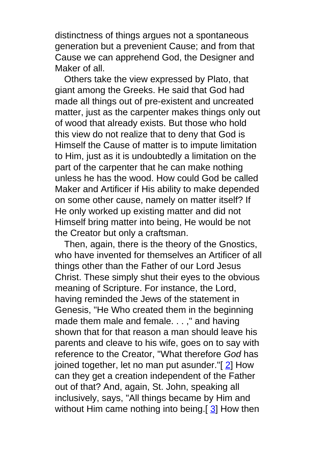distinctness of things argues not a spontaneous generation but a prevenient Cause; and from that Cause we can apprehend God, the Designer and Maker of all.

Others take the view expressed by Plato, that giant among the Greeks. He said that God had made all things out of pre-existent and uncreated matter, just as the carpenter makes things only out of wood that already exists. But those who hold this view do not realize that to deny that God is Himself the Cause of matter is to impute limitation to Him, just as it is undoubtedly a limitation on the part of the carpenter that he can make nothing unless he has the wood. How could God be called Maker and Artificer if His ability to make depended on some other cause, namely on matter itself? If He only worked up existing matter and did not Himself bring matter into being, He would be not the Creator but only a craftsman.

Then, again, there is the theory of the Gnostics, who have invented for themselves an Artificer of all things other than the Father of our Lord Jesus Christ. These simply shut their eyes to the obvious meaning of Scripture. For instance, the Lord, having reminded the Jews of the statement in Genesis, "He Who created them in the beginning made them male and female. . . ," and having shown that for that reason a man should leave his parents and cleave to his wife, goes on to say with reference to the Creator, "What therefore God has joined together, let no man put asunder."[ [2\]](#page-10-0) How can they get a creation independent of the Father out of that? And, again, St. John, speaking all inclusively, says, "All things became by Him and without Him came nothing into being.[[3](#page-10-0)] How then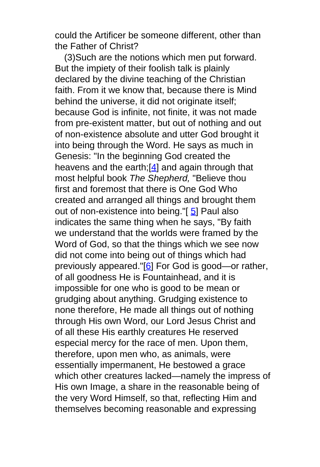could the Artificer be someone different, other than the Father of Christ?

(3)Such are the notions which men put forward. But the impiety of their foolish talk is plainly declared by the divine teaching of the Christian faith. From it we know that, because there is Mind behind the universe, it did not originate itself; because God is infinite, not finite, it was not made from pre-existent matter, but out of nothing and out of non-existence absolute and utter God brought it into being through the Word. He says as much in Genesis: "In the beginning God created the heavens and the earth; $[4]$  and again through that most helpful book The Shepherd, "Believe thou first and foremost that there is One God Who created and arranged all things and brought them out of non-existence into being."[ [5](#page-10-0)] Paul also indicates the same thing when he says, "By faith we understand that the worlds were framed by the Word of God, so that the things which we see now did not come into being out of things which had previously appeared."[[6\]](#page-10-0) For God is good—or rather, of all goodness He is Fountainhead, and it is impossible for one who is good to be mean or grudging about anything. Grudging existence to none therefore, He made all things out of nothing through His own Word, our Lord Jesus Christ and of all these His earthly creatures He reserved especial mercy for the race of men. Upon them, therefore, upon men who, as animals, were essentially impermanent, He bestowed a grace which other creatures lacked—namely the impress of His own Image, a share in the reasonable being of the very Word Himself, so that, reflecting Him and themselves becoming reasonable and expressing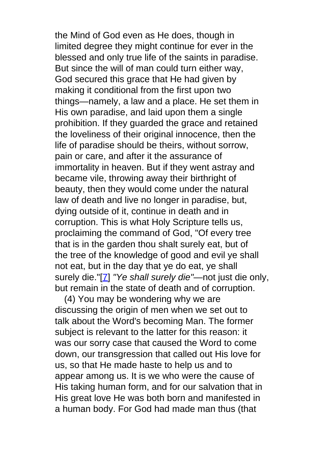the Mind of God even as He does, though in limited degree they might continue for ever in the blessed and only true life of the saints in paradise. But since the will of man could turn either way, God secured this grace that He had given by making it conditional from the first upon two things—namely, a law and a place. He set them in His own paradise, and laid upon them a single prohibition. If they guarded the grace and retained the loveliness of their original innocence, then the life of paradise should be theirs, without sorrow, pain or care, and after it the assurance of immortality in heaven. But if they went astray and became vile, throwing away their birthright of beauty, then they would come under the natural law of death and live no longer in paradise, but, dying outside of it, continue in death and in corruption. This is what Holy Scripture tells us, proclaiming the command of God, "Of every tree that is in the garden thou shalt surely eat, but of the tree of the knowledge of good and evil ye shall not eat, but in the day that ye do eat, ye shall surely die."[\[7\]](#page-10-0) "Ye shall surely die"—not just die only, but remain in the state of death and of corruption.

(4) You may be wondering why we are discussing the origin of men when we set out to talk about the Word's becoming Man. The former subject is relevant to the latter for this reason: it was our sorry case that caused the Word to come down, our transgression that called out His love for us, so that He made haste to help us and to appear among us. It is we who were the cause of His taking human form, and for our salvation that in His great love He was both born and manifested in a human body. For God had made man thus (that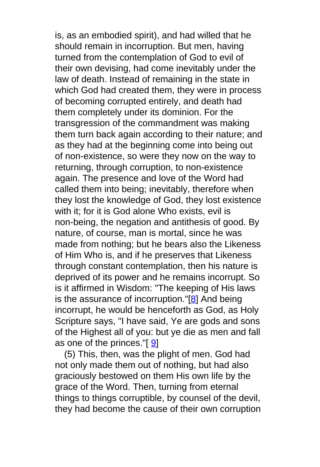is, as an embodied spirit), and had willed that he should remain in incorruption. But men, having turned from the contemplation of God to evil of their own devising, had come inevitably under the law of death. Instead of remaining in the state in which God had created them, they were in process of becoming corrupted entirely, and death had them completely under its dominion. For the transgression of the commandment was making them turn back again according to their nature; and as they had at the beginning come into being out of non-existence, so were they now on the way to returning, through corruption, to non-existence again. The presence and love of the Word had called them into being; inevitably, therefore when they lost the knowledge of God, they lost existence with it; for it is God alone Who exists, evil is non-being, the negation and antithesis of good. By nature, of course, man is mortal, since he was made from nothing; but he bears also the Likeness of Him Who is, and if he preserves that Likeness through constant contemplation, then his nature is deprived of its power and he remains incorrupt. So is it affirmed in Wisdom: "The keeping of His laws is the assurance of incorruption." $[8]$  $[8]$  $[8]$  And being incorrupt, he would be henceforth as God, as Holy Scripture says, "I have said, Ye are gods and sons of the Highest all of you: but ye die as men and fall as one of the princes."[[9](#page-10-0)]

(5) This, then, was the plight of men. God had not only made them out of nothing, but had also graciously bestowed on them His own life by the grace of the Word. Then, turning from eternal things to things corruptible, by counsel of the devil, they had become the cause of their own corruption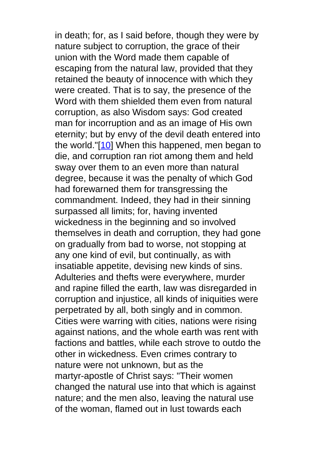in death; for, as I said before, though they were by nature subject to corruption, the grace of their union with the Word made them capable of escaping from the natural law, provided that they retained the beauty of innocence with which they were created. That is to say, the presence of the Word with them shielded them even from natural corruption, as also Wisdom says: God created man for incorruption and as an image of His own eternity; but by envy of the devil death entered into the world."[[10\]](#page-10-0) When this happened, men began to die, and corruption ran riot among them and held sway over them to an even more than natural degree, because it was the penalty of which God had forewarned them for transgressing the commandment. Indeed, they had in their sinning surpassed all limits; for, having invented wickedness in the beginning and so involved themselves in death and corruption, they had gone on gradually from bad to worse, not stopping at any one kind of evil, but continually, as with insatiable appetite, devising new kinds of sins. Adulteries and thefts were everywhere, murder and rapine filled the earth, law was disregarded in corruption and injustice, all kinds of iniquities were perpetrated by all, both singly and in common. Cities were warring with cities, nations were rising against nations, and the whole earth was rent with factions and battles, while each strove to outdo the other in wickedness. Even crimes contrary to nature were not unknown, but as the martyr-apostle of Christ says: "Their women changed the natural use into that which is against nature; and the men also, leaving the natural use of the woman, flamed out in lust towards each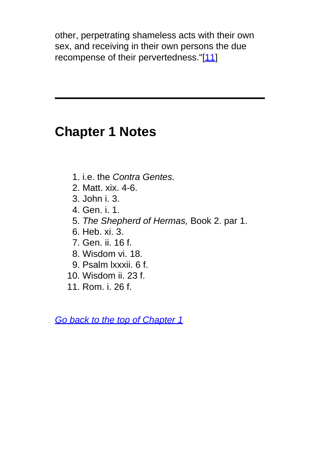<span id="page-10-0"></span>other, perpetrating shameless acts with their own sex, and receiving in their own persons the due recompense of their pervertedness."[11]

#### **Chapter 1 Notes**

- 1. i.e. the Contra Gentes.
- 2. Matt. xix. 4-6.
- 3. John i. 3.
- 4. Gen. i. 1.
- 5. The Shepherd of Hermas, Book 2. par 1.
- 6. Heb. xi. 3.
- 7. Gen. ii. 16 f.
- 8. Wisdom vi. 18.
- 9. Psalm lxxxii. 6 f.
- 10. Wisdom ii. 23 f.
- 11. Rom. i. 26 f.

[Go back to the top of Chapter 1](#page-3-0)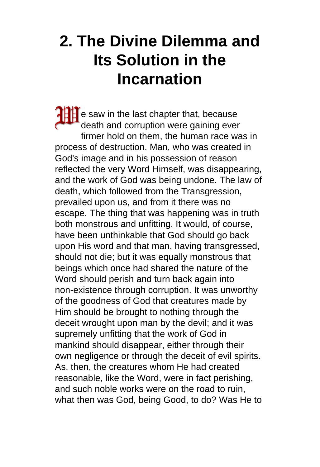## <span id="page-11-0"></span>**2. The Divine Dilemma and Its Solution in the Incarnation**

e saw in the last chapter that, because death and corruption were gaining ever firmer hold on them, the human race was in process of destruction. Man, who was created in God's image and in his possession of reason reflected the very Word Himself, was disappearing, and the work of God was being undone. The law of death, which followed from the Transgression, prevailed upon us, and from it there was no escape. The thing that was happening was in truth both monstrous and unfitting. It would, of course, have been unthinkable that God should go back upon His word and that man, having transgressed, should not die; but it was equally monstrous that beings which once had shared the nature of the Word should perish and turn back again into non-existence through corruption. It was unworthy of the goodness of God that creatures made by Him should be brought to nothing through the deceit wrought upon man by the devil; and it was supremely unfitting that the work of God in mankind should disappear, either through their own negligence or through the deceit of evil spirits. As, then, the creatures whom He had created reasonable, like the Word, were in fact perishing, and such noble works were on the road to ruin, what then was God, being Good, to do? Was He to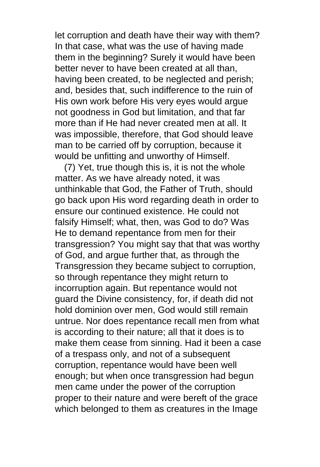let corruption and death have their way with them? In that case, what was the use of having made them in the beginning? Surely it would have been better never to have been created at all than, having been created, to be neglected and perish; and, besides that, such indifference to the ruin of His own work before His very eyes would argue not goodness in God but limitation, and that far more than if He had never created men at all. It was impossible, therefore, that God should leave man to be carried off by corruption, because it would be unfitting and unworthy of Himself.

(7) Yet, true though this is, it is not the whole matter. As we have already noted, it was unthinkable that God, the Father of Truth, should go back upon His word regarding death in order to ensure our continued existence. He could not falsify Himself; what, then, was God to do? Was He to demand repentance from men for their transgression? You might say that that was worthy of God, and argue further that, as through the Transgression they became subject to corruption, so through repentance they might return to incorruption again. But repentance would not guard the Divine consistency, for, if death did not hold dominion over men, God would still remain untrue. Nor does repentance recall men from what is according to their nature; all that it does is to make them cease from sinning. Had it been a case of a trespass only, and not of a subsequent corruption, repentance would have been well enough; but when once transgression had begun men came under the power of the corruption proper to their nature and were bereft of the grace which belonged to them as creatures in the Image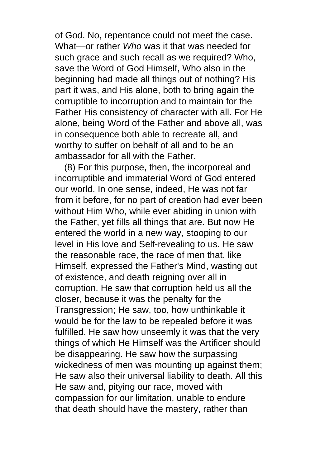of God. No, repentance could not meet the case. What—or rather Who was it that was needed for such grace and such recall as we required? Who, save the Word of God Himself, Who also in the beginning had made all things out of nothing? His part it was, and His alone, both to bring again the corruptible to incorruption and to maintain for the Father His consistency of character with all. For He alone, being Word of the Father and above all, was in consequence both able to recreate all, and worthy to suffer on behalf of all and to be an ambassador for all with the Father.

(8) For this purpose, then, the incorporeal and incorruptible and immaterial Word of God entered our world. In one sense, indeed, He was not far from it before, for no part of creation had ever been without Him Who, while ever abiding in union with the Father, yet fills all things that are. But now He entered the world in a new way, stooping to our level in His love and Self-revealing to us. He saw the reasonable race, the race of men that, like Himself, expressed the Father's Mind, wasting out of existence, and death reigning over all in corruption. He saw that corruption held us all the closer, because it was the penalty for the Transgression; He saw, too, how unthinkable it would be for the law to be repealed before it was fulfilled. He saw how unseemly it was that the very things of which He Himself was the Artificer should be disappearing. He saw how the surpassing wickedness of men was mounting up against them; He saw also their universal liability to death. All this He saw and, pitying our race, moved with compassion for our limitation, unable to endure that death should have the mastery, rather than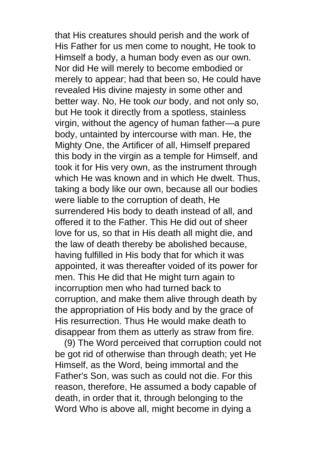that His creatures should perish and the work of His Father for us men come to nought, He took to Himself a body, a human body even as our own. Nor did He will merely to become embodied or merely to appear; had that been so, He could have revealed His divine majesty in some other and better way. No, He took our body, and not only so, but He took it directly from a spotless, stainless virgin, without the agency of human father—a pure body, untainted by intercourse with man. He, the Mighty One, the Artificer of all, Himself prepared this body in the virgin as a temple for Himself, and took it for His very own, as the instrument through which He was known and in which He dwelt. Thus, taking a body like our own, because all our bodies were liable to the corruption of death, He surrendered His body to death instead of all, and offered it to the Father. This He did out of sheer love for us, so that in His death all might die, and the law of death thereby be abolished because, having fulfilled in His body that for which it was appointed, it was thereafter voided of its power for men. This He did that He might turn again to incorruption men who had turned back to corruption, and make them alive through death by the appropriation of His body and by the grace of His resurrection. Thus He would make death to disappear from them as utterly as straw from fire.

(9) The Word perceived that corruption could not be got rid of otherwise than through death; yet He Himself, as the Word, being immortal and the Father's Son, was such as could not die. For this reason, therefore, He assumed a body capable of death, in order that it, through belonging to the Word Who is above all, might become in dying a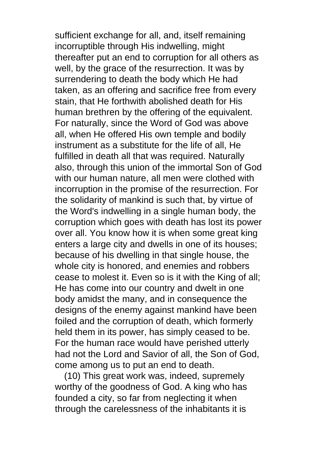sufficient exchange for all, and, itself remaining incorruptible through His indwelling, might thereafter put an end to corruption for all others as well, by the grace of the resurrection. It was by surrendering to death the body which He had taken, as an offering and sacrifice free from every stain, that He forthwith abolished death for His human brethren by the offering of the equivalent. For naturally, since the Word of God was above all, when He offered His own temple and bodily instrument as a substitute for the life of all, He fulfilled in death all that was required. Naturally also, through this union of the immortal Son of God with our human nature, all men were clothed with incorruption in the promise of the resurrection. For the solidarity of mankind is such that, by virtue of the Word's indwelling in a single human body, the corruption which goes with death has lost its power over all. You know how it is when some great king enters a large city and dwells in one of its houses; because of his dwelling in that single house, the whole city is honored, and enemies and robbers cease to molest it. Even so is it with the King of all; He has come into our country and dwelt in one body amidst the many, and in consequence the designs of the enemy against mankind have been foiled and the corruption of death, which formerly held them in its power, has simply ceased to be. For the human race would have perished utterly had not the Lord and Savior of all, the Son of God, come among us to put an end to death.

(10) This great work was, indeed, supremely worthy of the goodness of God. A king who has founded a city, so far from neglecting it when through the carelessness of the inhabitants it is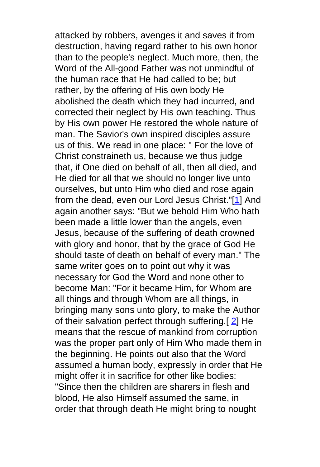attacked by robbers, avenges it and saves it from destruction, having regard rather to his own honor than to the people's neglect. Much more, then, the Word of the All-good Father was not unmindful of the human race that He had called to be; but rather, by the offering of His own body He abolished the death which they had incurred, and corrected their neglect by His own teaching. Thus by His own power He restored the whole nature of man. The Savior's own inspired disciples assure us of this. We read in one place: " For the love of Christ constraineth us, because we thus judge that, if One died on behalf of all, then all died, and He died for all that we should no longer live unto ourselves, but unto Him who died and rose again from the dead, even our Lord Jesus Christ."[\[1\]](#page-17-0) And again another says: "But we behold Him Who hath been made a little lower than the angels, even Jesus, because of the suffering of death crowned with glory and honor, that by the grace of God He should taste of death on behalf of every man." The same writer goes on to point out why it was necessary for God the Word and none other to become Man: "For it became Him, for Whom are all things and through Whom are all things, in bringing many sons unto glory, to make the Author of their salvation perfect through suffering.[ [2\]](#page-17-0) He means that the rescue of mankind from corruption was the proper part only of Him Who made them in the beginning. He points out also that the Word assumed a human body, expressly in order that He might offer it in sacrifice for other like bodies: "Since then the children are sharers in flesh and blood, He also Himself assumed the same, in order that through death He might bring to nought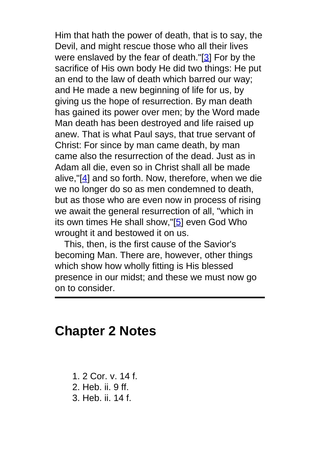<span id="page-17-0"></span>Him that hath the power of death, that is to say, the Devil, and might rescue those who all their lives were enslaved by the fear of death." $[3]$  For by the sacrifice of His own body He did two things: He put an end to the law of death which barred our way; and He made a new beginning of life for us, by giving us the hope of resurrection. By man death has gained its power over men; by the Word made Man death has been destroyed and life raised up anew. That is what Paul says, that true servant of Christ: For since by man came death, by man came also the resurrection of the dead. Just as in Adam all die, even so in Christ shall all be made alive,  $\left[\frac{4}{4}\right]$  $\left[\frac{4}{4}\right]$  $\left[\frac{4}{4}\right]$  and so forth. Now, therefore, when we die we no longer do so as men condemned to death, but as those who are even now in process of rising we await the general resurrection of all, "which in its own times He shall show,"[\[5\]](#page-18-0) even God Who wrought it and bestowed it on us.

This, then, is the first cause of the Savior's becoming Man. There are, however, other things which show how wholly fitting is His blessed presence in our midst; and these we must now go on to consider.

#### **Chapter 2 Notes**

1. 2 Cor. v. 14 f. 2. Heb. ii. 9 ff. 3. Heb. ii. 14 f.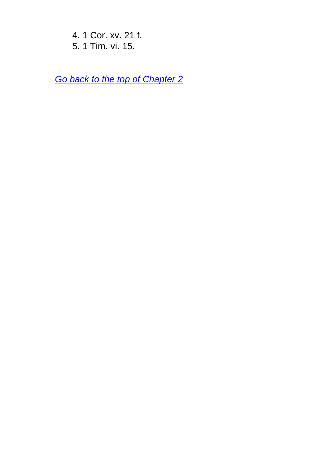<span id="page-18-0"></span>4. 1 Cor. xv. 21 f. 5. 1 Tim. vi. 15.

[Go back to the top of Chapter 2](#page-11-0)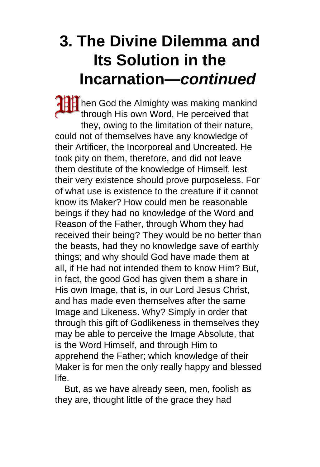## **3. The Divine Dilemma and Its Solution in the Incarnation—continued**

 $\mathbb E$  hen God the Almighty was making mankind through His own Word, He perceived that they, owing to the limitation of their nature, could not of themselves have any knowledge of their Artificer, the Incorporeal and Uncreated. He took pity on them, therefore, and did not leave them destitute of the knowledge of Himself, lest their very existence should prove purposeless. For of what use is existence to the creature if it cannot know its Maker? How could men be reasonable beings if they had no knowledge of the Word and Reason of the Father, through Whom they had received their being? They would be no better than the beasts, had they no knowledge save of earthly things; and why should God have made them at all, if He had not intended them to know Him? But, in fact, the good God has given them a share in His own Image, that is, in our Lord Jesus Christ, and has made even themselves after the same Image and Likeness. Why? Simply in order that through this gift of Godlikeness in themselves they may be able to perceive the Image Absolute, that is the Word Himself, and through Him to apprehend the Father; which knowledge of their Maker is for men the only really happy and blessed life.

But, as we have already seen, men, foolish as they are, thought little of the grace they had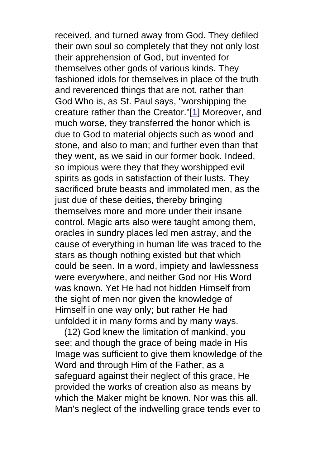received, and turned away from God. They defiled their own soul so completely that they not only lost their apprehension of God, but invented for themselves other gods of various kinds. They fashioned idols for themselves in place of the truth and reverenced things that are not, rather than God Who is, as St. Paul says, "worshipping the creature rather than the Creator."[[1](#page-30-0)] Moreover, and much worse, they transferred the honor which is due to God to material objects such as wood and stone, and also to man; and further even than that they went, as we said in our former book. Indeed, so impious were they that they worshipped evil spirits as gods in satisfaction of their lusts. They sacrificed brute beasts and immolated men, as the just due of these deities, thereby bringing themselves more and more under their insane control. Magic arts also were taught among them, oracles in sundry places led men astray, and the cause of everything in human life was traced to the stars as though nothing existed but that which could be seen. In a word, impiety and lawlessness were everywhere, and neither God nor His Word was known. Yet He had not hidden Himself from the sight of men nor given the knowledge of Himself in one way only; but rather He had unfolded it in many forms and by many ways.

(12) God knew the limitation of mankind, you see; and though the grace of being made in His Image was sufficient to give them knowledge of the Word and through Him of the Father, as a safeguard against their neglect of this grace, He provided the works of creation also as means by which the Maker might be known. Nor was this all. Man's neglect of the indwelling grace tends ever to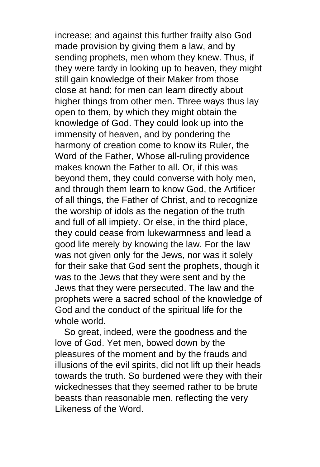increase; and against this further frailty also God made provision by giving them a law, and by sending prophets, men whom they knew. Thus, if they were tardy in looking up to heaven, they might still gain knowledge of their Maker from those close at hand; for men can learn directly about higher things from other men. Three ways thus lay open to them, by which they might obtain the knowledge of God. They could look up into the immensity of heaven, and by pondering the harmony of creation come to know its Ruler, the Word of the Father, Whose all-ruling providence makes known the Father to all. Or, if this was beyond them, they could converse with holy men, and through them learn to know God, the Artificer of all things, the Father of Christ, and to recognize the worship of idols as the negation of the truth and full of all impiety. Or else, in the third place, they could cease from lukewarmness and lead a good life merely by knowing the law. For the law was not given only for the Jews, nor was it solely for their sake that God sent the prophets, though it was to the Jews that they were sent and by the Jews that they were persecuted. The law and the prophets were a sacred school of the knowledge of God and the conduct of the spiritual life for the whole world.

So great, indeed, were the goodness and the love of God. Yet men, bowed down by the pleasures of the moment and by the frauds and illusions of the evil spirits, did not lift up their heads towards the truth. So burdened were they with their wickednesses that they seemed rather to be brute beasts than reasonable men, reflecting the very Likeness of the Word.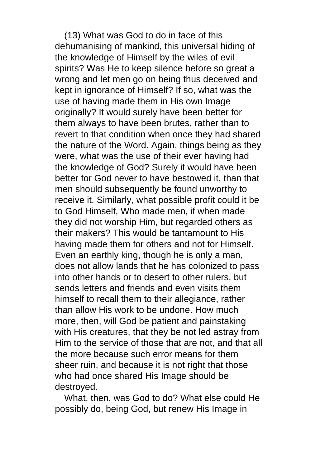(13) What was God to do in face of this dehumanising of mankind, this universal hiding of the knowledge of Himself by the wiles of evil spirits? Was He to keep silence before so great a wrong and let men go on being thus deceived and kept in ignorance of Himself? If so, what was the use of having made them in His own Image originally? It would surely have been better for them always to have been brutes, rather than to revert to that condition when once they had shared the nature of the Word. Again, things being as they were, what was the use of their ever having had the knowledge of God? Surely it would have been better for God never to have bestowed it, than that men should subsequently be found unworthy to receive it. Similarly, what possible profit could it be to God Himself, Who made men, if when made they did not worship Him, but regarded others as their makers? This would be tantamount to His having made them for others and not for Himself. Even an earthly king, though he is only a man, does not allow lands that he has colonized to pass into other hands or to desert to other rulers, but sends letters and friends and even visits them himself to recall them to their allegiance, rather than allow His work to be undone. How much more, then, will God be patient and painstaking with His creatures, that they be not led astray from Him to the service of those that are not, and that all the more because such error means for them sheer ruin, and because it is not right that those who had once shared His Image should be destroyed.

What, then, was God to do? What else could He possibly do, being God, but renew His Image in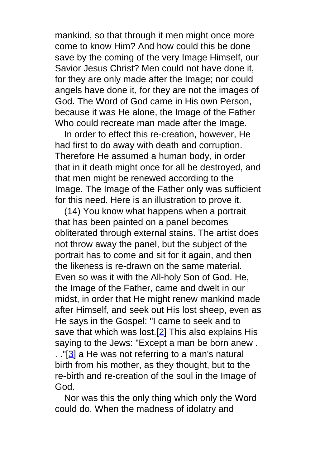mankind, so that through it men might once more come to know Him? And how could this be done save by the coming of the very Image Himself, our Savior Jesus Christ? Men could not have done it, for they are only made after the Image; nor could angels have done it, for they are not the images of God. The Word of God came in His own Person, because it was He alone, the Image of the Father Who could recreate man made after the Image.

In order to effect this re-creation, however, He had first to do away with death and corruption. Therefore He assumed a human body, in order that in it death might once for all be destroyed, and that men might be renewed according to the Image. The Image of the Father only was sufficient for this need. Here is an illustration to prove it.

(14) You know what happens when a portrait that has been painted on a panel becomes obliterated through external stains. The artist does not throw away the panel, but the subject of the portrait has to come and sit for it again, and then the likeness is re-drawn on the same material. Even so was it with the All-holy Son of God. He, the Image of the Father, came and dwelt in our midst, in order that He might renew mankind made after Himself, and seek out His lost sheep, even as He says in the Gospel: "I came to seek and to save that which was lost.[\[2\]](#page-30-0) This also explains His saying to the Jews: "Except a man be born anew . . . "[[3](#page-30-0)] a He was not referring to a man's natural birth from his mother, as they thought, but to the re-birth and re-creation of the soul in the Image of God.

Nor was this the only thing which only the Word could do. When the madness of idolatry and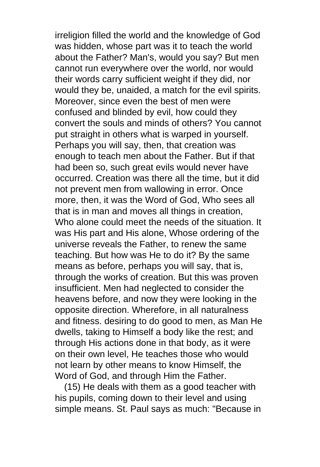irreligion filled the world and the knowledge of God was hidden, whose part was it to teach the world about the Father? Man's, would you say? But men cannot run everywhere over the world, nor would their words carry sufficient weight if they did, nor would they be, unaided, a match for the evil spirits. Moreover, since even the best of men were confused and blinded by evil, how could they convert the souls and minds of others? You cannot put straight in others what is warped in yourself. Perhaps you will say, then, that creation was enough to teach men about the Father. But if that had been so, such great evils would never have occurred. Creation was there all the time, but it did not prevent men from wallowing in error. Once more, then, it was the Word of God, Who sees all that is in man and moves all things in creation, Who alone could meet the needs of the situation. It was His part and His alone, Whose ordering of the universe reveals the Father, to renew the same teaching. But how was He to do it? By the same means as before, perhaps you will say, that is, through the works of creation. But this was proven insufficient. Men had neglected to consider the heavens before, and now they were looking in the opposite direction. Wherefore, in all naturalness and fitness. desiring to do good to men, as Man He dwells, taking to Himself a body like the rest; and through His actions done in that body, as it were on their own level, He teaches those who would not learn by other means to know Himself, the Word of God, and through Him the Father.

(15) He deals with them as a good teacher with his pupils, coming down to their level and using simple means. St. Paul says as much: "Because in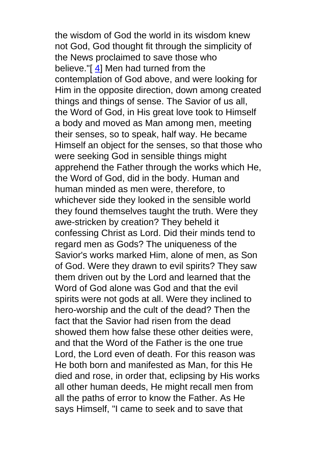the wisdom of God the world in its wisdom knew not God, God thought fit through the simplicity of the News proclaimed to save those who believe." $[4]$  $[4]$  Men had turned from the contemplation of God above, and were looking for Him in the opposite direction, down among created things and things of sense. The Savior of us all, the Word of God, in His great love took to Himself a body and moved as Man among men, meeting their senses, so to speak, half way. He became Himself an object for the senses, so that those who were seeking God in sensible things might apprehend the Father through the works which He, the Word of God, did in the body. Human and human minded as men were, therefore, to whichever side they looked in the sensible world they found themselves taught the truth. Were they awe-stricken by creation? They beheld it confessing Christ as Lord. Did their minds tend to regard men as Gods? The uniqueness of the Savior's works marked Him, alone of men, as Son of God. Were they drawn to evil spirits? They saw them driven out by the Lord and learned that the Word of God alone was God and that the evil spirits were not gods at all. Were they inclined to hero-worship and the cult of the dead? Then the fact that the Savior had risen from the dead showed them how false these other deities were, and that the Word of the Father is the one true Lord, the Lord even of death. For this reason was He both born and manifested as Man, for this He died and rose, in order that, eclipsing by His works all other human deeds, He might recall men from all the paths of error to know the Father. As He says Himself, "I came to seek and to save that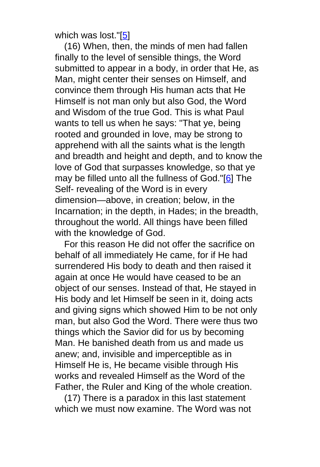which was lost."[\[5\]](#page-30-0)

(16) When, then, the minds of men had fallen finally to the level of sensible things, the Word submitted to appear in a body, in order that He, as Man, might center their senses on Himself, and convince them through His human acts that He Himself is not man only but also God, the Word and Wisdom of the true God. This is what Paul wants to tell us when he says: "That ye, being rooted and grounded in love, may be strong to apprehend with all the saints what is the length and breadth and height and depth, and to know the love of God that surpasses knowledge, so that ye may be filled unto all the fullness of God."[[6](#page-30-0)] The Self- revealing of the Word is in every dimension—above, in creation; below, in the Incarnation; in the depth, in Hades; in the breadth. throughout the world. All things have been filled with the knowledge of God.

For this reason He did not offer the sacrifice on behalf of all immediately He came, for if He had surrendered His body to death and then raised it again at once He would have ceased to be an object of our senses. Instead of that, He stayed in His body and let Himself be seen in it, doing acts and giving signs which showed Him to be not only man, but also God the Word. There were thus two things which the Savior did for us by becoming Man. He banished death from us and made us anew; and, invisible and imperceptible as in Himself He is, He became visible through His works and revealed Himself as the Word of the Father, the Ruler and King of the whole creation.

(17) There is a paradox in this last statement which we must now examine. The Word was not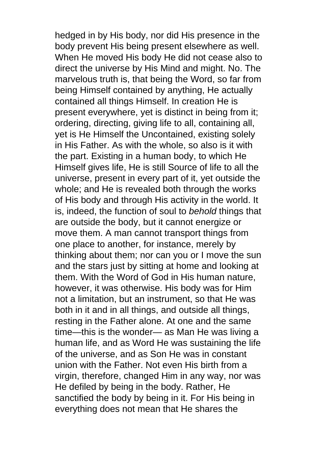hedged in by His body, nor did His presence in the body prevent His being present elsewhere as well. When He moved His body He did not cease also to direct the universe by His Mind and might. No. The marvelous truth is, that being the Word, so far from being Himself contained by anything, He actually contained all things Himself. In creation He is present everywhere, yet is distinct in being from it; ordering, directing, giving life to all, containing all, yet is He Himself the Uncontained, existing solely in His Father. As with the whole, so also is it with the part. Existing in a human body, to which He Himself gives life, He is still Source of life to all the universe, present in every part of it, yet outside the whole; and He is revealed both through the works of His body and through His activity in the world. It is, indeed, the function of soul to behold things that are outside the body, but it cannot energize or move them. A man cannot transport things from one place to another, for instance, merely by thinking about them; nor can you or I move the sun and the stars just by sitting at home and looking at them. With the Word of God in His human nature, however, it was otherwise. His body was for Him not a limitation, but an instrument, so that He was both in it and in all things, and outside all things, resting in the Father alone. At one and the same time—this is the wonder— as Man He was living a human life, and as Word He was sustaining the life of the universe, and as Son He was in constant union with the Father. Not even His birth from a virgin, therefore, changed Him in any way, nor was He defiled by being in the body. Rather, He sanctified the body by being in it. For His being in everything does not mean that He shares the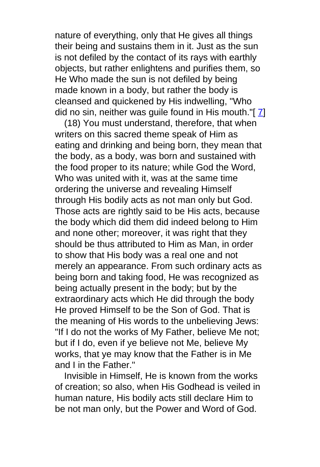nature of everything, only that He gives all things their being and sustains them in it. Just as the sun is not defiled by the contact of its rays with earthly objects, but rather enlightens and purifies them, so He Who made the sun is not defiled by being made known in a body, but rather the body is cleansed and quickened by His indwelling, "Who did no sin, neither was guile found in His mouth." $[7]$  $[7]$  $[7]$ 

(18) You must understand, therefore, that when writers on this sacred theme speak of Him as eating and drinking and being born, they mean that the body, as a body, was born and sustained with the food proper to its nature; while God the Word, Who was united with it, was at the same time ordering the universe and revealing Himself through His bodily acts as not man only but God. Those acts are rightly said to be His acts, because the body which did them did indeed belong to Him and none other; moreover, it was right that they should be thus attributed to Him as Man, in order to show that His body was a real one and not merely an appearance. From such ordinary acts as being born and taking food, He was recognized as being actually present in the body; but by the extraordinary acts which He did through the body He proved Himself to be the Son of God. That is the meaning of His words to the unbelieving Jews: "If I do not the works of My Father, believe Me not; but if I do, even if ye believe not Me, believe My works, that ye may know that the Father is in Me and I in the Father."

Invisible in Himself, He is known from the works of creation; so also, when His Godhead is veiled in human nature, His bodily acts still declare Him to be not man only, but the Power and Word of God.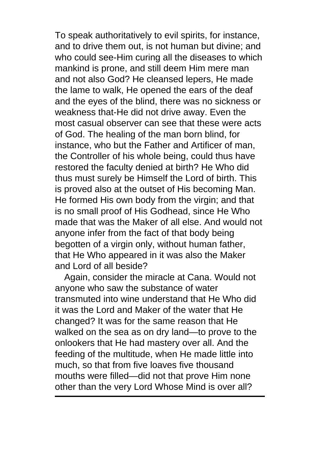To speak authoritatively to evil spirits, for instance, and to drive them out, is not human but divine; and who could see-Him curing all the diseases to which mankind is prone, and still deem Him mere man and not also God? He cleansed lepers, He made the lame to walk, He opened the ears of the deaf and the eyes of the blind, there was no sickness or weakness that-He did not drive away. Even the most casual observer can see that these were acts of God. The healing of the man born blind, for instance, who but the Father and Artificer of man, the Controller of his whole being, could thus have restored the faculty denied at birth? He Who did thus must surely be Himself the Lord of birth. This is proved also at the outset of His becoming Man. He formed His own body from the virgin; and that is no small proof of His Godhead, since He Who made that was the Maker of all else. And would not anyone infer from the fact of that body being begotten of a virgin only, without human father, that He Who appeared in it was also the Maker and Lord of all beside?

Again, consider the miracle at Cana. Would not anyone who saw the substance of water transmuted into wine understand that He Who did it was the Lord and Maker of the water that He changed? It was for the same reason that He walked on the sea as on dry land—to prove to the onlookers that He had mastery over all. And the feeding of the multitude, when He made little into much, so that from five loaves five thousand mouths were filled—did not that prove Him none other than the very Lord Whose Mind is over all?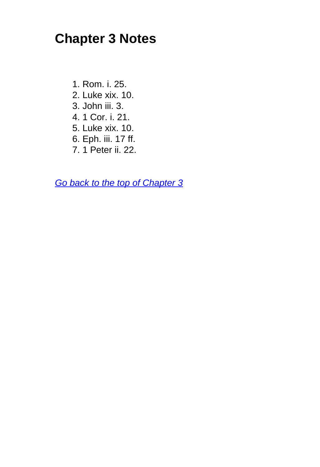#### <span id="page-30-0"></span>**Chapter 3 Notes**

1. Rom. i. 25. 2. Luke xix. 10. 3. John iii. 3. 4. 1 Cor. i. 21. 5. Luke xix. 10. 6. Eph. iii. 17 ff. 7. 1 Peter ii. 22.

[Go back to the top of Chapter 3](#page-18-0)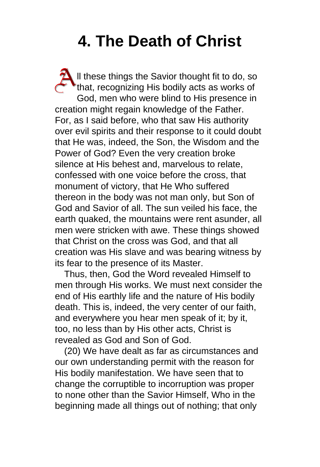## **4. The Death of Christ**

ll these things the Savior thought fit to do, so that, recognizing His bodily acts as works of God, men who were blind to His presence in creation might regain knowledge of the Father. For, as I said before, who that saw His authority over evil spirits and their response to it could doubt that He was, indeed, the Son, the Wisdom and the Power of God? Even the very creation broke silence at His behest and, marvelous to relate, confessed with one voice before the cross, that monument of victory, that He Who suffered thereon in the body was not man only, but Son of God and Savior of all. The sun veiled his face, the earth quaked, the mountains were rent asunder, all men were stricken with awe. These things showed that Christ on the cross was God, and that all creation was His slave and was bearing witness by its fear to the presence of its Master.

Thus, then, God the Word revealed Himself to men through His works. We must next consider the end of His earthly life and the nature of His bodily death. This is, indeed, the very center of our faith, and everywhere you hear men speak of it; by it, too, no less than by His other acts, Christ is revealed as God and Son of God.

(20) We have dealt as far as circumstances and our own understanding permit with the reason for His bodily manifestation. We have seen that to change the corruptible to incorruption was proper to none other than the Savior Himself, Who in the beginning made all things out of nothing; that only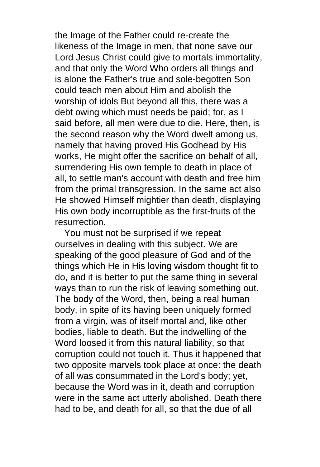the Image of the Father could re-create the likeness of the Image in men, that none save our Lord Jesus Christ could give to mortals immortality, and that only the Word Who orders all things and is alone the Father's true and sole-begotten Son could teach men about Him and abolish the worship of idols But beyond all this, there was a debt owing which must needs be paid; for, as I said before, all men were due to die. Here, then, is the second reason why the Word dwelt among us, namely that having proved His Godhead by His works, He might offer the sacrifice on behalf of all, surrendering His own temple to death in place of all, to settle man's account with death and free him from the primal transgression. In the same act also He showed Himself mightier than death, displaying His own body incorruptible as the first-fruits of the resurrection.

You must not be surprised if we repeat ourselves in dealing with this subject. We are speaking of the good pleasure of God and of the things which He in His loving wisdom thought fit to do, and it is better to put the same thing in several ways than to run the risk of leaving something out. The body of the Word, then, being a real human body, in spite of its having been uniquely formed from a virgin, was of itself mortal and, like other bodies, liable to death. But the indwelling of the Word loosed it from this natural liability, so that corruption could not touch it. Thus it happened that two opposite marvels took place at once: the death of all was consummated in the Lord's body; yet, because the Word was in it, death and corruption were in the same act utterly abolished. Death there had to be, and death for all, so that the due of all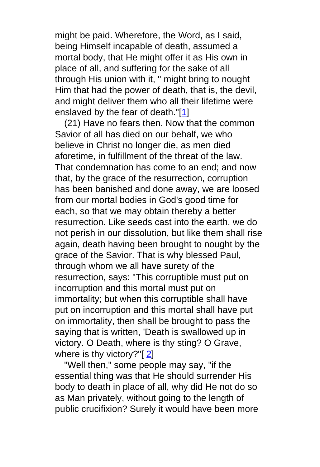might be paid. Wherefore, the Word, as I said, being Himself incapable of death, assumed a mortal body, that He might offer it as His own in place of all, and suffering for the sake of all through His union with it, " might bring to nought Him that had the power of death, that is, the devil, and might deliver them who all their lifetime were enslaved by the fear of death." $[1]$  $[1]$  $[1]$ 

(21) Have no fears then. Now that the common Savior of all has died on our behalf, we who believe in Christ no longer die, as men died aforetime, in fulfillment of the threat of the law. That condemnation has come to an end; and now that, by the grace of the resurrection, corruption has been banished and done away, we are loosed from our mortal bodies in God's good time for each, so that we may obtain thereby a better resurrection. Like seeds cast into the earth, we do not perish in our dissolution, but like them shall rise again, death having been brought to nought by the grace of the Savior. That is why blessed Paul, through whom we all have surety of the resurrection, says: "This corruptible must put on incorruption and this mortal must put on immortality; but when this corruptible shall have put on incorruption and this mortal shall have put on immortality, then shall be brought to pass the saying that is written, 'Death is swallowed up in victory. O Death, where is thy sting? O Grave, where is thy victory?"[[2](#page-40-0)]

"Well then," some people may say, "if the essential thing was that He should surrender His body to death in place of all, why did He not do so as Man privately, without going to the length of public crucifixion? Surely it would have been more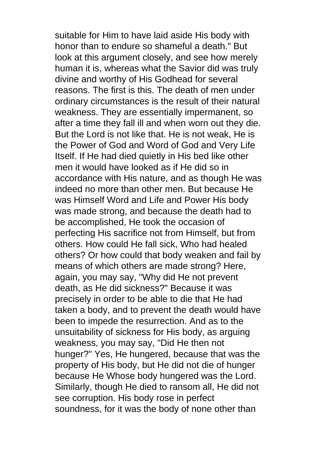suitable for Him to have laid aside His body with honor than to endure so shameful a death." But look at this argument closely, and see how merely human it is, whereas what the Savior did was truly divine and worthy of His Godhead for several reasons. The first is this. The death of men under ordinary circumstances is the result of their natural weakness. They are essentially impermanent, so after a time they fall ill and when worn out they die. But the Lord is not like that. He is not weak, He is the Power of God and Word of God and Very Life Itself. If He had died quietly in His bed like other men it would have looked as if He did so in accordance with His nature, and as though He was indeed no more than other men. But because He was Himself Word and Life and Power His body was made strong, and because the death had to be accomplished, He took the occasion of perfecting His sacrifice not from Himself, but from others. How could He fall sick, Who had healed others? Or how could that body weaken and fail by means of which others are made strong? Here, again, you may say, "Why did He not prevent death, as He did sickness?" Because it was precisely in order to be able to die that He had taken a body, and to prevent the death would have been to impede the resurrection. And as to the unsuitability of sickness for His body, as arguing weakness, you may say, "Did He then not hunger?" Yes, He hungered, because that was the property of His body, but He did not die of hunger because He Whose body hungered was the Lord. Similarly, though He died to ransom all, He did not see corruption. His body rose in perfect soundness, for it was the body of none other than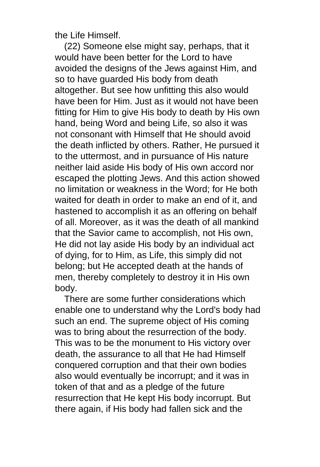the Life Himself.

(22) Someone else might say, perhaps, that it would have been better for the Lord to have avoided the designs of the Jews against Him, and so to have guarded His body from death altogether. But see how unfitting this also would have been for Him. Just as it would not have been fitting for Him to give His body to death by His own hand, being Word and being Life, so also it was not consonant with Himself that He should avoid the death inflicted by others. Rather, He pursued it to the uttermost, and in pursuance of His nature neither laid aside His body of His own accord nor escaped the plotting Jews. And this action showed no limitation or weakness in the Word; for He both waited for death in order to make an end of it, and hastened to accomplish it as an offering on behalf of all. Moreover, as it was the death of all mankind that the Savior came to accomplish, not His own, He did not lay aside His body by an individual act of dying, for to Him, as Life, this simply did not belong; but He accepted death at the hands of men, thereby completely to destroy it in His own body.

There are some further considerations which enable one to understand why the Lord's body had such an end. The supreme object of His coming was to bring about the resurrection of the body. This was to be the monument to His victory over death, the assurance to all that He had Himself conquered corruption and that their own bodies also would eventually be incorrupt; and it was in token of that and as a pledge of the future resurrection that He kept His body incorrupt. But there again, if His body had fallen sick and the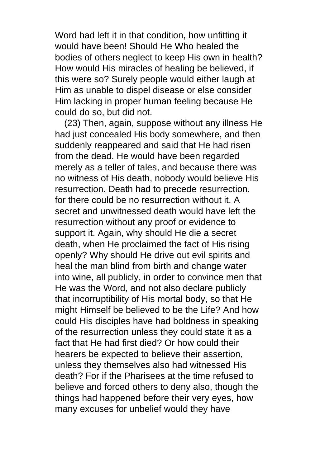Word had left it in that condition, how unfitting it would have been! Should He Who healed the bodies of others neglect to keep His own in health? How would His miracles of healing be believed, if this were so? Surely people would either laugh at Him as unable to dispel disease or else consider Him lacking in proper human feeling because He could do so, but did not.

(23) Then, again, suppose without any illness He had just concealed His body somewhere, and then suddenly reappeared and said that He had risen from the dead. He would have been regarded merely as a teller of tales, and because there was no witness of His death, nobody would believe His resurrection. Death had to precede resurrection, for there could be no resurrection without it. A secret and unwitnessed death would have left the resurrection without any proof or evidence to support it. Again, why should He die a secret death, when He proclaimed the fact of His rising openly? Why should He drive out evil spirits and heal the man blind from birth and change water into wine, all publicly, in order to convince men that He was the Word, and not also declare publicly that incorruptibility of His mortal body, so that He might Himself be believed to be the Life? And how could His disciples have had boldness in speaking of the resurrection unless they could state it as a fact that He had first died? Or how could their hearers be expected to believe their assertion, unless they themselves also had witnessed His death? For if the Pharisees at the time refused to believe and forced others to deny also, though the things had happened before their very eyes, how many excuses for unbelief would they have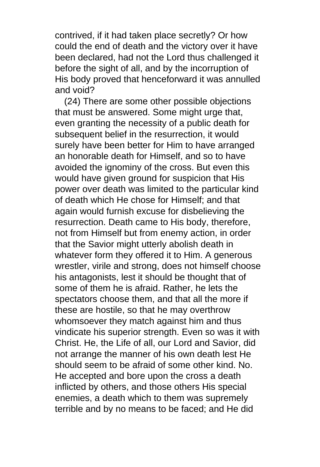contrived, if it had taken place secretly? Or how could the end of death and the victory over it have been declared, had not the Lord thus challenged it before the sight of all, and by the incorruption of His body proved that henceforward it was annulled and void?

(24) There are some other possible objections that must be answered. Some might urge that, even granting the necessity of a public death for subsequent belief in the resurrection, it would surely have been better for Him to have arranged an honorable death for Himself, and so to have avoided the ignominy of the cross. But even this would have given ground for suspicion that His power over death was limited to the particular kind of death which He chose for Himself; and that again would furnish excuse for disbelieving the resurrection. Death came to His body, therefore, not from Himself but from enemy action, in order that the Savior might utterly abolish death in whatever form they offered it to Him. A generous wrestler, virile and strong, does not himself choose his antagonists, lest it should be thought that of some of them he is afraid. Rather, he lets the spectators choose them, and that all the more if these are hostile, so that he may overthrow whomsoever they match against him and thus vindicate his superior strength. Even so was it with Christ. He, the Life of all, our Lord and Savior, did not arrange the manner of his own death lest He should seem to be afraid of some other kind. No. He accepted and bore upon the cross a death inflicted by others, and those others His special enemies, a death which to them was supremely terrible and by no means to be faced; and He did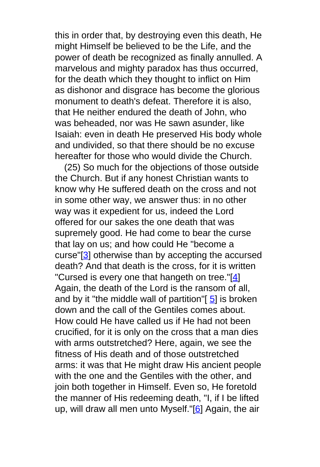this in order that, by destroying even this death, He might Himself be believed to be the Life, and the power of death be recognized as finally annulled. A marvelous and mighty paradox has thus occurred, for the death which they thought to inflict on Him as dishonor and disgrace has become the glorious monument to death's defeat. Therefore it is also, that He neither endured the death of John, who was beheaded, nor was He sawn asunder, like Isaiah: even in death He preserved His body whole and undivided, so that there should be no excuse hereafter for those who would divide the Church.

(25) So much for the objections of those outside the Church. But if any honest Christian wants to know why He suffered death on the cross and not in some other way, we answer thus: in no other way was it expedient for us, indeed the Lord offered for our sakes the one death that was supremely good. He had come to bear the curse that lay on us; and how could He "become a curse"[[3\]](#page-40-0) otherwise than by accepting the accursed death? And that death is the cross, for it is written "Cursed is every one that hangeth on tree." $[4]$  $[4]$  $[4]$ Again, the death of the Lord is the ransom of all, and by it "the middle wall of partition" $\lceil 5 \rceil$  $\lceil 5 \rceil$  $\lceil 5 \rceil$  is broken down and the call of the Gentiles comes about. How could He have called us if He had not been crucified, for it is only on the cross that a man dies with arms outstretched? Here, again, we see the fitness of His death and of those outstretched arms: it was that He might draw His ancient people with the one and the Gentiles with the other, and join both together in Himself. Even so, He foretold the manner of His redeeming death, "I, if I be lifted up, will draw all men unto Myself."[[6](#page-40-0)] Again, the air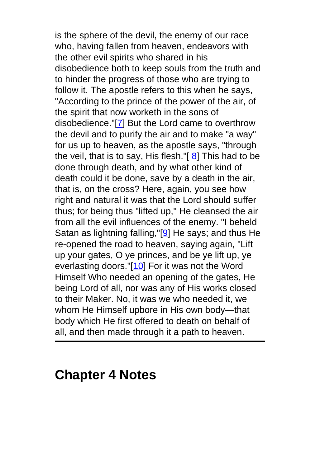is the sphere of the devil, the enemy of our race who, having fallen from heaven, endeavors with the other evil spirits who shared in his disobedience both to keep souls from the truth and to hinder the progress of those who are trying to follow it. The apostle refers to this when he says, "According to the prince of the power of the air, of the spirit that now worketh in the sons of disobedience."[[7](#page-40-0)] But the Lord came to overthrow the devil and to purify the air and to make "a way" for us up to heaven, as the apostle says, "through the veil, that is to say, His flesh." $[8]$  $[8]$  This had to be done through death, and by what other kind of death could it be done, save by a death in the air, that is, on the cross? Here, again, you see how right and natural it was that the Lord should suffer thus; for being thus "lifted up," He cleansed the air from all the evil influences of the enemy. "I beheld Satan as lightning falling,"[[9\]](#page-40-0) He says; and thus He re-opened the road to heaven, saying again, "Lift up your gates, O ye princes, and be ye lift up, ye everlasting doors."[\[10\]](#page-40-0) For it was not the Word Himself Who needed an opening of the gates, He being Lord of all, nor was any of His works closed to their Maker. No, it was we who needed it, we whom He Himself upbore in His own body—that body which He first offered to death on behalf of all, and then made through it a path to heaven.

#### **Chapter 4 Notes**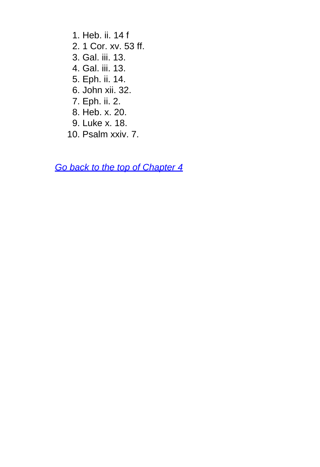<span id="page-40-0"></span>1. Heb. ii. 14 f 2. 1 Cor. xv. 53 ff. 3. Gal. iii. 13. 4. Gal. iii. 13. 5. Eph. ii. 14. 6. John xii. 32. 7. Eph. ii. 2. 8. Heb. x. 20. 9. Luke x. 18. 10. Psalm xxiv. 7.

[Go back to the top of Chapter 4](#page-31-0)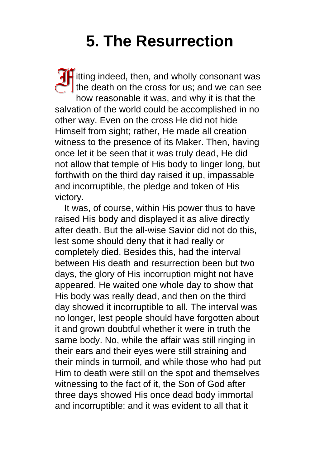# **5. The Resurrection**

<span id="page-41-0"></span> $\overline{4}$  itting indeed, then, and wholly consonant was  $\bullet$  the death on the cross for us; and we can see how reasonable it was, and why it is that the salvation of the world could be accomplished in no other way. Even on the cross He did not hide Himself from sight; rather, He made all creation witness to the presence of its Maker. Then, having once let it be seen that it was truly dead, He did not allow that temple of His body to linger long, but forthwith on the third day raised it up, impassable and incorruptible, the pledge and token of His victory.

It was, of course, within His power thus to have raised His body and displayed it as alive directly after death. But the all-wise Savior did not do this, lest some should deny that it had really or completely died. Besides this, had the interval between His death and resurrection been but two days, the glory of His incorruption might not have appeared. He waited one whole day to show that His body was really dead, and then on the third day showed it incorruptible to all. The interval was no longer, lest people should have forgotten about it and grown doubtful whether it were in truth the same body. No, while the affair was still ringing in their ears and their eyes were still straining and their minds in turmoil, and while those who had put Him to death were still on the spot and themselves witnessing to the fact of it, the Son of God after three days showed His once dead body immortal and incorruptible; and it was evident to all that it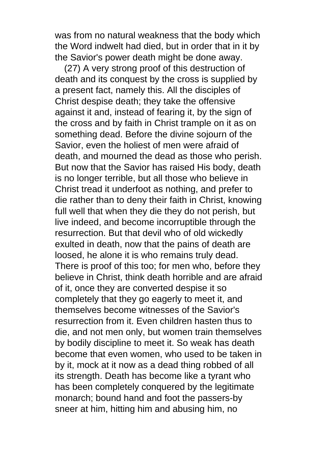was from no natural weakness that the body which the Word indwelt had died, but in order that in it by the Savior's power death might be done away.

(27) A very strong proof of this destruction of death and its conquest by the cross is supplied by a present fact, namely this. All the disciples of Christ despise death; they take the offensive against it and, instead of fearing it, by the sign of the cross and by faith in Christ trample on it as on something dead. Before the divine sojourn of the Savior, even the holiest of men were afraid of death, and mourned the dead as those who perish. But now that the Savior has raised His body, death is no longer terrible, but all those who believe in Christ tread it underfoot as nothing, and prefer to die rather than to deny their faith in Christ, knowing full well that when they die they do not perish, but live indeed, and become incorruptible through the resurrection. But that devil who of old wickedly exulted in death, now that the pains of death are loosed, he alone it is who remains truly dead. There is proof of this too; for men who, before they believe in Christ, think death horrible and are afraid of it, once they are converted despise it so completely that they go eagerly to meet it, and themselves become witnesses of the Savior's resurrection from it. Even children hasten thus to die, and not men only, but women train themselves by bodily discipline to meet it. So weak has death become that even women, who used to be taken in by it, mock at it now as a dead thing robbed of all its strength. Death has become like a tyrant who has been completely conquered by the legitimate monarch; bound hand and foot the passers-by sneer at him, hitting him and abusing him, no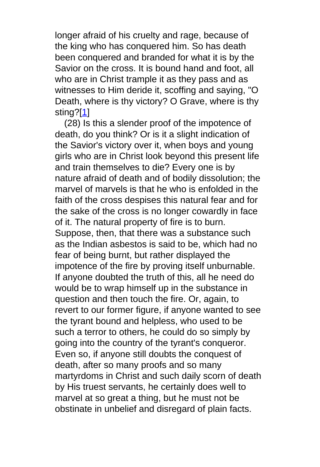longer afraid of his cruelty and rage, because of the king who has conquered him. So has death been conquered and branded for what it is by the Savior on the cross. It is bound hand and foot, all who are in Christ trample it as they pass and as witnesses to Him deride it, scoffing and saying, "O Death, where is thy victory? O Grave, where is thy sting?[\[1](#page-50-0)]

(28) Is this a slender proof of the impotence of death, do you think? Or is it a slight indication of the Savior's victory over it, when boys and young girls who are in Christ look beyond this present life and train themselves to die? Every one is by nature afraid of death and of bodily dissolution; the marvel of marvels is that he who is enfolded in the faith of the cross despises this natural fear and for the sake of the cross is no longer cowardly in face of it. The natural property of fire is to burn. Suppose, then, that there was a substance such as the Indian asbestos is said to be, which had no fear of being burnt, but rather displayed the impotence of the fire by proving itself unburnable. If anyone doubted the truth of this, all he need do would be to wrap himself up in the substance in question and then touch the fire. Or, again, to revert to our former figure, if anyone wanted to see the tyrant bound and helpless, who used to be such a terror to others, he could do so simply by going into the country of the tyrant's conqueror. Even so, if anyone still doubts the conquest of death, after so many proofs and so many martyrdoms in Christ and such daily scorn of death by His truest servants, he certainly does well to marvel at so great a thing, but he must not be obstinate in unbelief and disregard of plain facts.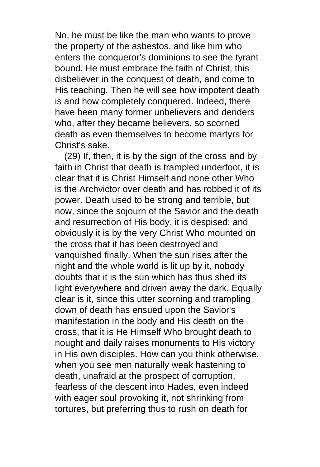No, he must be like the man who wants to prove the property of the asbestos, and like him who enters the conqueror's dominions to see the tyrant bound. He must embrace the faith of Christ, this disbeliever in the conquest of death, and come to His teaching. Then he will see how impotent death is and how completely conquered. Indeed, there have been many former unbelievers and deriders who, after they became believers, so scorned death as even themselves to become martyrs for Christ's sake.

(29) If, then, it is by the sign of the cross and by faith in Christ that death is trampled underfoot, it is clear that it is Christ Himself and none other Who is the Archvictor over death and has robbed it of its power. Death used to be strong and terrible, but now, since the sojourn of the Savior and the death and resurrection of His body, it is despised; and obviously it is by the very Christ Who mounted on the cross that it has been destroyed and vanquished finally. When the sun rises after the night and the whole world is lit up by it, nobody doubts that it is the sun which has thus shed its light everywhere and driven away the dark. Equally clear is it, since this utter scorning and trampling down of death has ensued upon the Savior's manifestation in the body and His death on the cross, that it is He Himself Who brought death to nought and daily raises monuments to His victory in His own disciples. How can you think otherwise, when you see men naturally weak hastening to death, unafraid at the prospect of corruption, fearless of the descent into Hades, even indeed with eager soul provoking it, not shrinking from tortures, but preferring thus to rush on death for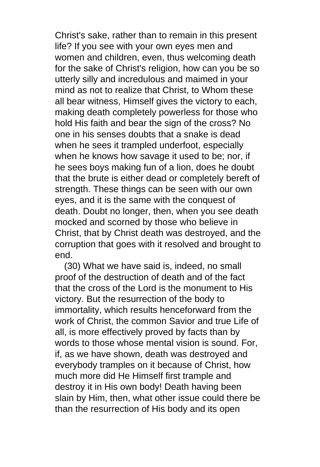Christ's sake, rather than to remain in this present life? If you see with your own eyes men and women and children, even, thus welcoming death for the sake of Christ's religion, how can you be so utterly silly and incredulous and maimed in your mind as not to realize that Christ, to Whom these all bear witness, Himself gives the victory to each, making death completely powerless for those who hold His faith and bear the sign of the cross? No one in his senses doubts that a snake is dead when he sees it trampled underfoot, especially when he knows how savage it used to be; nor, if he sees boys making fun of a lion, does he doubt that the brute is either dead or completely bereft of strength. These things can be seen with our own eyes, and it is the same with the conquest of death. Doubt no longer, then, when you see death mocked and scorned by those who believe in Christ, that by Christ death was destroyed, and the corruption that goes with it resolved and brought to end.

(30) What we have said is, indeed, no small proof of the destruction of death and of the fact that the cross of the Lord is the monument to His victory. But the resurrection of the body to immortality, which results henceforward from the work of Christ, the common Savior and true Life of all, is more effectively proved by facts than by words to those whose mental vision is sound. For, if, as we have shown, death was destroyed and everybody tramples on it because of Christ, how much more did He Himself first trample and destroy it in His own body! Death having been slain by Him, then, what other issue could there be than the resurrection of His body and its open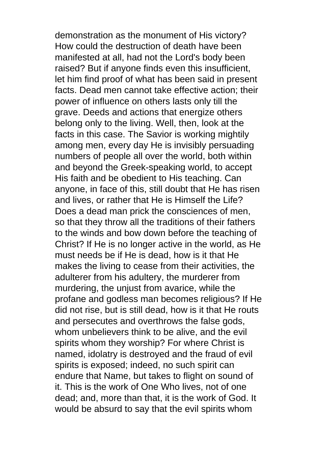demonstration as the monument of His victory? How could the destruction of death have been manifested at all, had not the Lord's body been raised? But if anyone finds even this insufficient, let him find proof of what has been said in present facts. Dead men cannot take effective action; their power of influence on others lasts only till the grave. Deeds and actions that energize others belong only to the living. Well, then, look at the facts in this case. The Savior is working mightily among men, every day He is invisibly persuading numbers of people all over the world, both within and beyond the Greek-speaking world, to accept His faith and be obedient to His teaching. Can anyone, in face of this, still doubt that He has risen and lives, or rather that He is Himself the Life? Does a dead man prick the consciences of men, so that they throw all the traditions of their fathers to the winds and bow down before the teaching of Christ? If He is no longer active in the world, as He must needs be if He is dead, how is it that He makes the living to cease from their activities, the adulterer from his adultery, the murderer from murdering, the unjust from avarice, while the profane and godless man becomes religious? If He did not rise, but is still dead, how is it that He routs and persecutes and overthrows the false gods, whom unbelievers think to be alive, and the evil spirits whom they worship? For where Christ is named, idolatry is destroyed and the fraud of evil spirits is exposed; indeed, no such spirit can endure that Name, but takes to flight on sound of it. This is the work of One Who lives, not of one dead; and, more than that, it is the work of God. It would be absurd to say that the evil spirits whom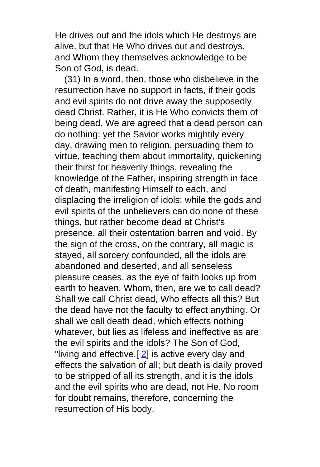He drives out and the idols which He destroys are alive, but that He Who drives out and destroys, and Whom they themselves acknowledge to be Son of God, is dead.

(31) In a word, then, those who disbelieve in the resurrection have no support in facts, if their gods and evil spirits do not drive away the supposedly dead Christ. Rather, it is He Who convicts them of being dead. We are agreed that a dead person can do nothing: yet the Savior works mightily every day, drawing men to religion, persuading them to virtue, teaching them about immortality, quickening their thirst for heavenly things, revealing the knowledge of the Father, inspiring strength in face of death, manifesting Himself to each, and displacing the irreligion of idols; while the gods and evil spirits of the unbelievers can do none of these things, but rather become dead at Christ's presence, all their ostentation barren and void. By the sign of the cross, on the contrary, all magic is stayed, all sorcery confounded, all the idols are abandoned and deserted, and all senseless pleasure ceases, as the eye of faith looks up from earth to heaven. Whom, then, are we to call dead? Shall we call Christ dead, Who effects all this? But the dead have not the faculty to effect anything. Or shall we call death dead, which effects nothing whatever, but lies as lifeless and ineffective as are the evil spirits and the idols? The Son of God, "living and effective, $\lceil 2 \rceil$  is active every day and effects the salvation of all; but death is daily proved to be stripped of all its strength, and it is the idols and the evil spirits who are dead, not He. No room for doubt remains, therefore, concerning the resurrection of His body.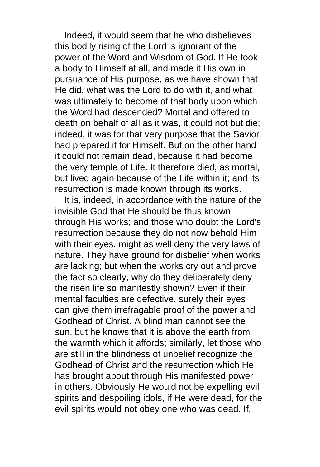Indeed, it would seem that he who disbelieves this bodily rising of the Lord is ignorant of the power of the Word and Wisdom of God. If He took a body to Himself at all, and made it His own in pursuance of His purpose, as we have shown that He did, what was the Lord to do with it, and what was ultimately to become of that body upon which the Word had descended? Mortal and offered to death on behalf of all as it was, it could not but die; indeed, it was for that very purpose that the Savior had prepared it for Himself. But on the other hand it could not remain dead, because it had become the very temple of Life. It therefore died, as mortal, but lived again because of the Life within it; and its resurrection is made known through its works.

It is, indeed, in accordance with the nature of the invisible God that He should be thus known through His works; and those who doubt the Lord's resurrection because they do not now behold Him with their eyes, might as well deny the very laws of nature. They have ground for disbelief when works are lacking; but when the works cry out and prove the fact so clearly, why do they deliberately deny the risen life so manifestly shown? Even if their mental faculties are defective, surely their eyes can give them irrefragable proof of the power and Godhead of Christ. A blind man cannot see the sun, but he knows that it is above the earth from the warmth which it affords; similarly, let those who are still in the blindness of unbelief recognize the Godhead of Christ and the resurrection which He has brought about through His manifested power in others. Obviously He would not be expelling evil spirits and despoiling idols, if He were dead, for the evil spirits would not obey one who was dead. If,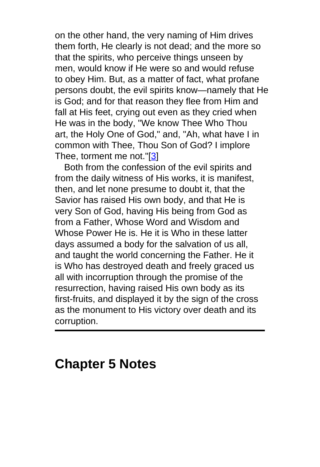on the other hand, the very naming of Him drives them forth, He clearly is not dead; and the more so that the spirits, who perceive things unseen by men, would know if He were so and would refuse to obey Him. But, as a matter of fact, what profane persons doubt, the evil spirits know—namely that He is God; and for that reason they flee from Him and fall at His feet, crying out even as they cried when He was in the body, "We know Thee Who Thou art, the Holy One of God," and, "Ah, what have I in common with Thee, Thou Son of God? I implore Thee, torment me not."[[3](#page-50-0)]

Both from the confession of the evil spirits and from the daily witness of His works, it is manifest, then, and let none presume to doubt it, that the Savior has raised His own body, and that He is very Son of God, having His being from God as from a Father, Whose Word and Wisdom and Whose Power He is. He it is Who in these latter days assumed a body for the salvation of us all, and taught the world concerning the Father. He it is Who has destroyed death and freely graced us all with incorruption through the promise of the resurrection, having raised His own body as its first-fruits, and displayed it by the sign of the cross as the monument to His victory over death and its corruption.

### **Chapter 5 Notes**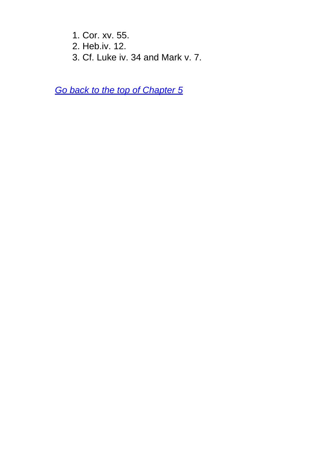<span id="page-50-0"></span>1. Cor. xv. 55. 2. Heb.iv. 12. 3. Cf. Luke iv. 34 and Mark v. 7.

[Go back to the top of Chapter 5](#page-41-0)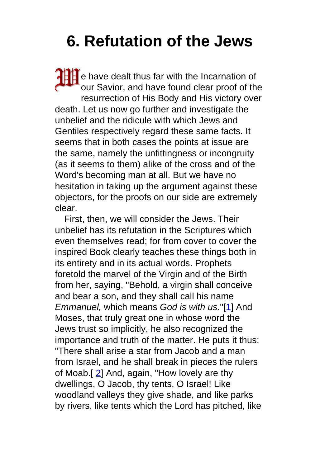# <span id="page-51-0"></span>**6. Refutation of the Jews**

 $\mathbf H$  e have dealt thus far with the Incarnation of our Savior, and have found clear proof of the resurrection of His Body and His victory over death. Let us now go further and investigate the unbelief and the ridicule with which Jews and Gentiles respectively regard these same facts. It seems that in both cases the points at issue are the same, namely the unfittingness or incongruity (as it seems to them) alike of the cross and of the Word's becoming man at all. But we have no hesitation in taking up the argument against these objectors, for the proofs on our side are extremely clear.

First, then, we will consider the Jews. Their unbelief has its refutation in the Scriptures which even themselves read; for from cover to cover the inspired Book clearly teaches these things both in its entirety and in its actual words. Prophets foretold the marvel of the Virgin and of the Birth from her, saying, "Behold, a virgin shall conceive and bear a son, and they shall call his name Emmanuel, which means God is with us."[[1](#page-63-0)] And Moses, that truly great one in whose word the Jews trust so implicitly, he also recognized the importance and truth of the matter. He puts it thus: "There shall arise a star from Jacob and a man from Israel, and he shall break in pieces the rulers of Moab.[ [2](#page-63-0)] And, again, "How lovely are thy dwellings, O Jacob, thy tents, O Israel! Like woodland valleys they give shade, and like parks by rivers, like tents which the Lord has pitched, like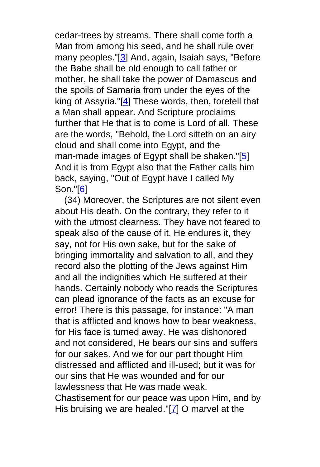cedar-trees by streams. There shall come forth a Man from among his seed, and he shall rule over many peoples. "[[3](#page-63-0)] And, again, Isaiah says, "Before the Babe shall be old enough to call father or mother, he shall take the power of Damascus and the spoils of Samaria from under the eyes of the king of Assyria."[[4\]](#page-63-0) These words, then, foretell that a Man shall appear. And Scripture proclaims further that He that is to come is Lord of all. These are the words, "Behold, the Lord sitteth on an airy cloud and shall come into Egypt, and the man-made images of Egypt shall be shaken."[\[5](#page-63-0)] And it is from Egypt also that the Father calls him back, saying, "Out of Egypt have I called My Son."[\[6\]](#page-63-0)

(34) Moreover, the Scriptures are not silent even about His death. On the contrary, they refer to it with the utmost clearness. They have not feared to speak also of the cause of it. He endures it, they say, not for His own sake, but for the sake of bringing immortality and salvation to all, and they record also the plotting of the Jews against Him and all the indignities which He suffered at their hands. Certainly nobody who reads the Scriptures can plead ignorance of the facts as an excuse for error! There is this passage, for instance: "A man that is afflicted and knows how to bear weakness, for His face is turned away. He was dishonored and not considered, He bears our sins and suffers for our sakes. And we for our part thought Him distressed and afflicted and ill-used; but it was for our sins that He was wounded and for our lawlessness that He was made weak. Chastisement for our peace was upon Him, and by His bruising we are healed." $[7]$  O marvel at the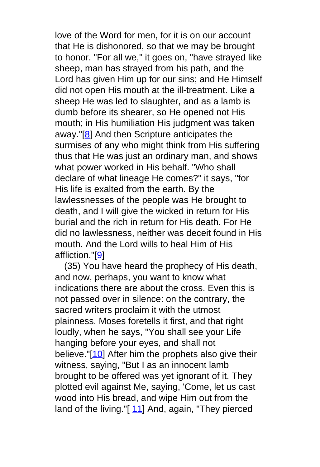love of the Word for men, for it is on our account that He is dishonored, so that we may be brought to honor. "For all we," it goes on, "have strayed like sheep, man has strayed from his path, and the Lord has given Him up for our sins; and He Himself did not open His mouth at the ill-treatment. Like a sheep He was led to slaughter, and as a lamb is dumb before its shearer, so He opened not His mouth; in His humiliation His judgment was taken away."[[8\]](#page-63-0) And then Scripture anticipates the surmises of any who might think from His suffering thus that He was just an ordinary man, and shows what power worked in His behalf. "Who shall declare of what lineage He comes?" it says, "for His life is exalted from the earth. By the lawlessnesses of the people was He brought to death, and I will give the wicked in return for His burial and the rich in return for His death. For He did no lawlessness, neither was deceit found in His mouth. And the Lord wills to heal Him of His affliction."[[9\]](#page-63-0)

(35) You have heard the prophecy of His death, and now, perhaps, you want to know what indications there are about the cross. Even this is not passed over in silence: on the contrary, the sacred writers proclaim it with the utmost plainness. Moses foretells it first, and that right loudly, when he says, "You shall see your Life hanging before your eyes, and shall not believe."[[10](#page-63-0)] After him the prophets also give their witness, saying, "But I as an innocent lamb brought to be offered was yet ignorant of it. They plotted evil against Me, saying, 'Come, let us cast wood into His bread, and wipe Him out from the land of the living."[[11](#page-63-0)] And, again, "They pierced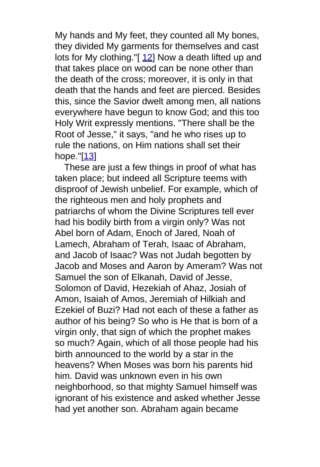My hands and My feet, they counted all My bones, they divided My garments for themselves and cast lots for My clothing." $\left[\frac{12}{12}\right]$  Now a death lifted up and that takes place on wood can be none other than the death of the cross; moreover, it is only in that death that the hands and feet are pierced. Besides this, since the Savior dwelt among men, all nations everywhere have begun to know God; and this too Holy Writ expressly mentions. "There shall be the Root of Jesse," it says, "and he who rises up to rule the nations, on Him nations shall set their hope."[[13\]](#page-63-0)

These are just a few things in proof of what has taken place; but indeed all Scripture teems with disproof of Jewish unbelief. For example, which of the righteous men and holy prophets and patriarchs of whom the Divine Scriptures tell ever had his bodily birth from a virgin only? Was not Abel born of Adam, Enoch of Jared, Noah of Lamech, Abraham of Terah, Isaac of Abraham, and Jacob of Isaac? Was not Judah begotten by Jacob and Moses and Aaron by Ameram? Was not Samuel the son of Elkanah, David of Jesse, Solomon of David, Hezekiah of Ahaz, Josiah of Amon, Isaiah of Amos, Jeremiah of Hilkiah and Ezekiel of Buzi? Had not each of these a father as author of his being? So who is He that is born of a virgin only, that sign of which the prophet makes so much? Again, which of all those people had his birth announced to the world by a star in the heavens? When Moses was born his parents hid him. David was unknown even in his own neighborhood, so that mighty Samuel himself was ignorant of his existence and asked whether Jesse had yet another son. Abraham again became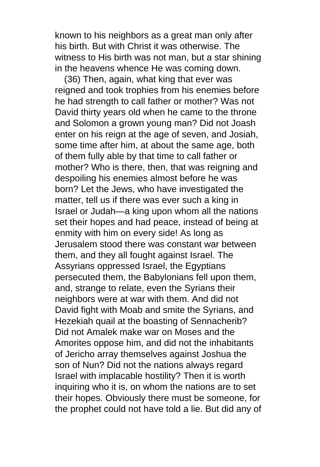known to his neighbors as a great man only after his birth. But with Christ it was otherwise. The witness to His birth was not man, but a star shining in the heavens whence He was coming down.

(36) Then, again, what king that ever was reigned and took trophies from his enemies before he had strength to call father or mother? Was not David thirty years old when he came to the throne and Solomon a grown young man? Did not Joash enter on his reign at the age of seven, and Josiah, some time after him, at about the same age, both of them fully able by that time to call father or mother? Who is there, then, that was reigning and despoiling his enemies almost before he was born? Let the Jews, who have investigated the matter, tell us if there was ever such a king in Israel or Judah—a king upon whom all the nations set their hopes and had peace, instead of being at enmity with him on every side! As long as Jerusalem stood there was constant war between them, and they all fought against Israel. The Assyrians oppressed Israel, the Egyptians persecuted them, the Babylonians fell upon them, and, strange to relate, even the Syrians their neighbors were at war with them. And did not David fight with Moab and smite the Syrians, and Hezekiah quail at the boasting of Sennacherib? Did not Amalek make war on Moses and the Amorites oppose him, and did not the inhabitants of Jericho array themselves against Joshua the son of Nun? Did not the nations always regard Israel with implacable hostility? Then it is worth inquiring who it is, on whom the nations are to set their hopes. Obviously there must be someone, for the prophet could not have told a lie. But did any of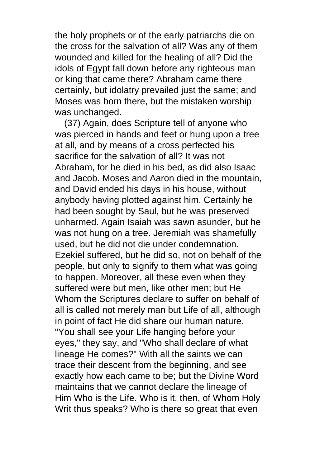the holy prophets or of the early patriarchs die on the cross for the salvation of all? Was any of them wounded and killed for the healing of all? Did the idols of Egypt fall down before any righteous man or king that came there? Abraham came there certainly, but idolatry prevailed just the same; and Moses was born there, but the mistaken worship was unchanged.

(37) Again, does Scripture tell of anyone who was pierced in hands and feet or hung upon a tree at all, and by means of a cross perfected his sacrifice for the salvation of all? It was not Abraham, for he died in his bed, as did also Isaac and Jacob. Moses and Aaron died in the mountain, and David ended his days in his house, without anybody having plotted against him. Certainly he had been sought by Saul, but he was preserved unharmed. Again Isaiah was sawn asunder, but he was not hung on a tree. Jeremiah was shamefully used, but he did not die under condemnation. Ezekiel suffered, but he did so, not on behalf of the people, but only to signify to them what was going to happen. Moreover, all these even when they suffered were but men, like other men; but He Whom the Scriptures declare to suffer on behalf of all is called not merely man but Life of all, although in point of fact He did share our human nature. "You shall see your Life hanging before your eyes," they say, and "Who shall declare of what lineage He comes?" With all the saints we can trace their descent from the beginning, and see exactly how each came to be; but the Divine Word maintains that we cannot declare the lineage of Him Who is the Life. Who is it, then, of Whom Holy Writ thus speaks? Who is there so great that even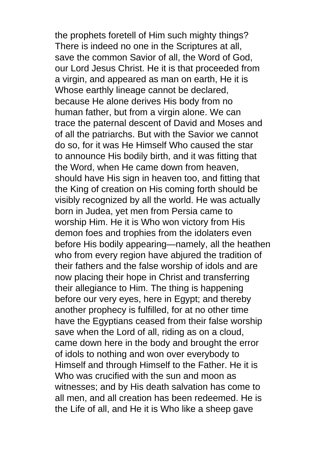the prophets foretell of Him such mighty things? There is indeed no one in the Scriptures at all, save the common Savior of all, the Word of God, our Lord Jesus Christ. He it is that proceeded from a virgin, and appeared as man on earth, He it is Whose earthly lineage cannot be declared, because He alone derives His body from no human father, but from a virgin alone. We can trace the paternal descent of David and Moses and of all the patriarchs. But with the Savior we cannot do so, for it was He Himself Who caused the star to announce His bodily birth, and it was fitting that the Word, when He came down from heaven, should have His sign in heaven too, and fitting that the King of creation on His coming forth should be visibly recognized by all the world. He was actually born in Judea, yet men from Persia came to worship Him. He it is Who won victory from His demon foes and trophies from the idolaters even before His bodily appearing—namely, all the heathen who from every region have abjured the tradition of their fathers and the false worship of idols and are now placing their hope in Christ and transferring their allegiance to Him. The thing is happening before our very eyes, here in Egypt; and thereby another prophecy is fulfilled, for at no other time have the Egyptians ceased from their false worship save when the Lord of all, riding as on a cloud, came down here in the body and brought the error of idols to nothing and won over everybody to Himself and through Himself to the Father. He it is Who was crucified with the sun and moon as witnesses; and by His death salvation has come to all men, and all creation has been redeemed. He is the Life of all, and He it is Who like a sheep gave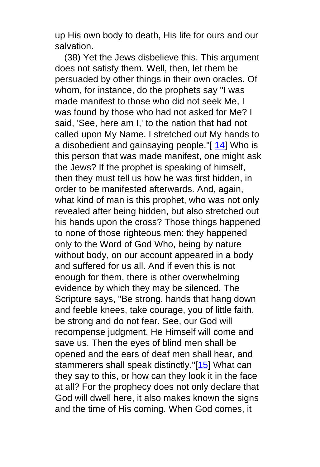up His own body to death, His life for ours and our salvation.

(38) Yet the Jews disbelieve this. This argument does not satisfy them. Well, then, let them be persuaded by other things in their own oracles. Of whom, for instance, do the prophets say "I was made manifest to those who did not seek Me, I was found by those who had not asked for Me? I said, 'See, here am I,' to the nation that had not called upon My Name. I stretched out My hands to a disobedient and gainsaying people." $[14]$  $[14]$  $[14]$  Who is this person that was made manifest, one might ask the Jews? If the prophet is speaking of himself, then they must tell us how he was first hidden, in order to be manifested afterwards. And, again, what kind of man is this prophet, who was not only revealed after being hidden, but also stretched out his hands upon the cross? Those things happened to none of those righteous men: they happened only to the Word of God Who, being by nature without body, on our account appeared in a body and suffered for us all. And if even this is not enough for them, there is other overwhelming evidence by which they may be silenced. The Scripture says, "Be strong, hands that hang down and feeble knees, take courage, you of little faith, be strong and do not fear. See, our God will recompense judgment, He Himself will come and save us. Then the eyes of blind men shall be opened and the ears of deaf men shall hear, and stammerers shall speak distinctly."[[15](#page-63-0)] What can they say to this, or how can they look it in the face at all? For the prophecy does not only declare that God will dwell here, it also makes known the signs and the time of His coming. When God comes, it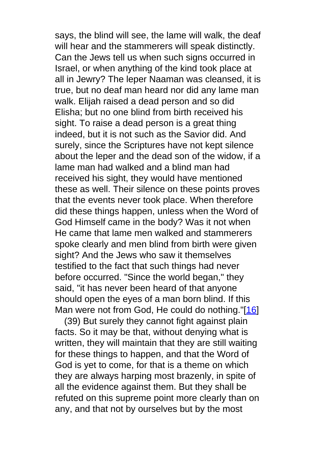says, the blind will see, the lame will walk, the deaf will hear and the stammerers will speak distinctly. Can the Jews tell us when such signs occurred in Israel, or when anything of the kind took place at all in Jewry? The leper Naaman was cleansed, it is true, but no deaf man heard nor did any lame man walk. Elijah raised a dead person and so did Elisha; but no one blind from birth received his sight. To raise a dead person is a great thing indeed, but it is not such as the Savior did. And surely, since the Scriptures have not kept silence about the leper and the dead son of the widow, if a lame man had walked and a blind man had received his sight, they would have mentioned these as well. Their silence on these points proves that the events never took place. When therefore did these things happen, unless when the Word of God Himself came in the body? Was it not when He came that lame men walked and stammerers spoke clearly and men blind from birth were given sight? And the Jews who saw it themselves testified to the fact that such things had never before occurred. "Since the world began," they said, "it has never been heard of that anyone should open the eyes of a man born blind. If this Man were not from God, He could do nothing."[\[16\]](#page-63-0)

(39) But surely they cannot fight against plain facts. So it may be that, without denying what is written, they will maintain that they are still waiting for these things to happen, and that the Word of God is yet to come, for that is a theme on which they are always harping most brazenly, in spite of all the evidence against them. But they shall be refuted on this supreme point more clearly than on any, and that not by ourselves but by the most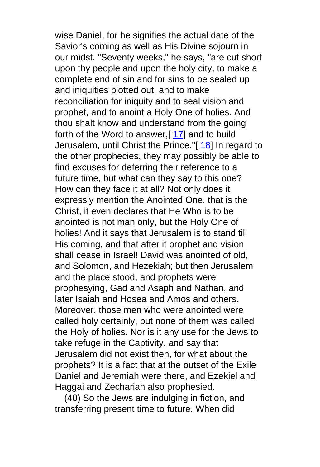wise Daniel, for he signifies the actual date of the Savior's coming as well as His Divine sojourn in our midst. "Seventy weeks," he says, "are cut short upon thy people and upon the holy city, to make a complete end of sin and for sins to be sealed up and iniquities blotted out, and to make reconciliation for iniquity and to seal vision and prophet, and to anoint a Holy One of holies. And thou shalt know and understand from the going forth of the Word to answer,[ [17](#page-63-0)] and to build Jerusalem, until Christ the Prince."[[18\]](#page-64-0) In regard to the other prophecies, they may possibly be able to find excuses for deferring their reference to a future time, but what can they say to this one? How can they face it at all? Not only does it expressly mention the Anointed One, that is the Christ, it even declares that He Who is to be anointed is not man only, but the Holy One of holies! And it says that Jerusalem is to stand till His coming, and that after it prophet and vision shall cease in Israel! David was anointed of old, and Solomon, and Hezekiah; but then Jerusalem and the place stood, and prophets were prophesying, Gad and Asaph and Nathan, and later Isaiah and Hosea and Amos and others. Moreover, those men who were anointed were called holy certainly, but none of them was called the Holy of holies. Nor is it any use for the Jews to take refuge in the Captivity, and say that Jerusalem did not exist then, for what about the prophets? It is a fact that at the outset of the Exile Daniel and Jeremiah were there, and Ezekiel and Haggai and Zechariah also prophesied.

(40) So the Jews are indulging in fiction, and transferring present time to future. When did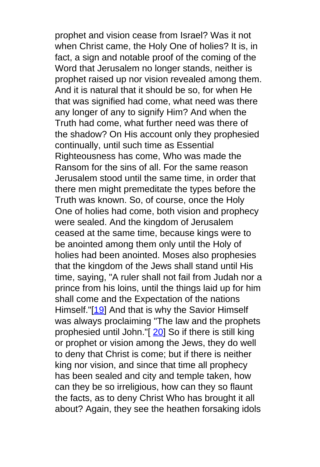prophet and vision cease from Israel? Was it not when Christ came, the Holy One of holies? It is, in fact, a sign and notable proof of the coming of the Word that Jerusalem no longer stands, neither is prophet raised up nor vision revealed among them. And it is natural that it should be so, for when He that was signified had come, what need was there any longer of any to signify Him? And when the Truth had come, what further need was there of the shadow? On His account only they prophesied continually, until such time as Essential Righteousness has come, Who was made the Ransom for the sins of all. For the same reason Jerusalem stood until the same time, in order that there men might premeditate the types before the Truth was known. So, of course, once the Holy One of holies had come, both vision and prophecy were sealed. And the kingdom of Jerusalem ceased at the same time, because kings were to be anointed among them only until the Holy of holies had been anointed. Moses also prophesies that the kingdom of the Jews shall stand until His time, saying, "A ruler shall not fail from Judah nor a prince from his loins, until the things laid up for him shall come and the Expectation of the nations Himself."[[19](#page-64-0)] And that is why the Savior Himself was always proclaiming "The law and the prophets prophesied until John."[[20\]](#page-63-0) So if there is still king or prophet or vision among the Jews, they do well to deny that Christ is come; but if there is neither king nor vision, and since that time all prophecy has been sealed and city and temple taken, how can they be so irreligious, how can they so flaunt the facts, as to deny Christ Who has brought it all about? Again, they see the heathen forsaking idols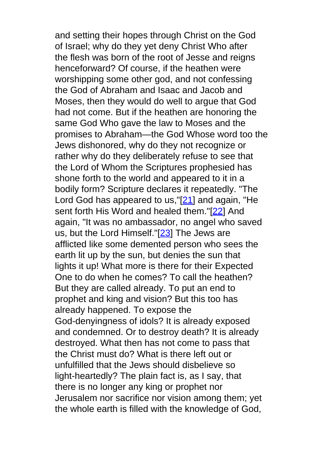and setting their hopes through Christ on the God of Israel; why do they yet deny Christ Who after the flesh was born of the root of Jesse and reigns henceforward? Of course, if the heathen were worshipping some other god, and not confessing the God of Abraham and Isaac and Jacob and Moses, then they would do well to argue that God had not come. But if the heathen are honoring the same God Who gave the law to Moses and the promises to Abraham—the God Whose word too the Jews dishonored, why do they not recognize or rather why do they deliberately refuse to see that the Lord of Whom the Scriptures prophesied has shone forth to the world and appeared to it in a bodily form? Scripture declares it repeatedly. "The Lord God has appeared to us,  $\left[\frac{21}{21}\right]$  and again, "He sent forth His Word and healed them."[\[22\]](#page-64-0) And again, "It was no ambassador, no angel who saved us, but the Lord Himself."[[23](#page-64-0)] The Jews are afflicted like some demented person who sees the earth lit up by the sun, but denies the sun that lights it up! What more is there for their Expected One to do when he comes? To call the heathen? But they are called already. To put an end to prophet and king and vision? But this too has already happened. To expose the God-denyingness of idols? It is already exposed and condemned. Or to destroy death? It is already destroyed. What then has not come to pass that the Christ must do? What is there left out or unfulfilled that the Jews should disbelieve so light-heartedly? The plain fact is, as I say, that there is no longer any king or prophet nor Jerusalem nor sacrifice nor vision among them; yet the whole earth is filled with the knowledge of God,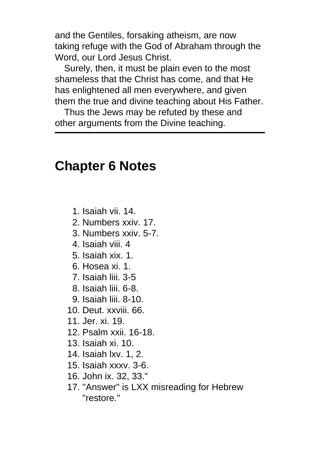<span id="page-63-0"></span>and the Gentiles, forsaking atheism, are now taking refuge with the God of Abraham through the Word, our Lord Jesus Christ.

Surely, then, it must be plain even to the most shameless that the Christ has come, and that He has enlightened all men everywhere, and given them the true and divine teaching about His Father.

Thus the Jews may be refuted by these and other arguments from the Divine teaching.

### **Chapter 6 Notes**

- 1. Isaiah vii. 14.
- 2. Numbers xxiv. 17.
- 3. Numbers xxiv. 5-7.
- 4. Isaiah viii. 4
- 5. Isaiah xix. 1.
- 6. Hosea xi. 1.
- 7. Isaiah liii. 3-5
- 8. Isaiah liii. 6-8.
- 9. Isaiah liii. 8-10.
- 10. Deut. xxviii. 66.
- 11. Jer. xi. 19.
- 12. Psalm xxii. 16-18.
- 13. Isaiah xi. 10.
- 14. Isaiah lxv. 1, 2.
- 15. Isaiah xxxv. 3-6.
- 16. John ix. 32, 33."
- 17. "Answer" is LXX misreading for Hebrew "restore."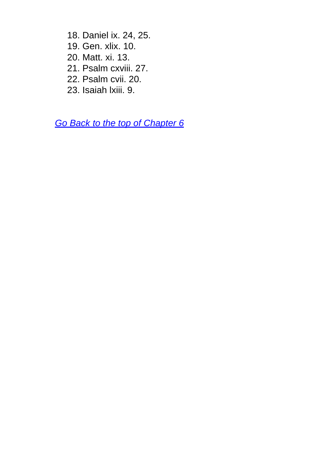- <span id="page-64-0"></span>18. Daniel ix. 24, 25. 19. Gen. xlix. 10. 20. Matt. xi. 13. 21. Psalm cxviii. 27. 22. Psalm cvii. 20.
- 23. Isaiah lxiii. 9.

[Go Back to the top of Chapter 6](#page-51-0)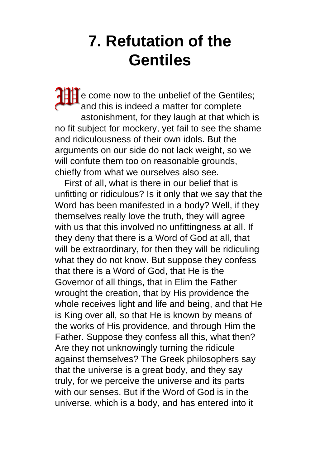## **7. Refutation of the Gentiles**

e come now to the unbelief of the Gentiles; and this is indeed a matter for complete astonishment, for they laugh at that which is no fit subject for mockery, yet fail to see the shame and ridiculousness of their own idols. But the arguments on our side do not lack weight, so we will confute them too on reasonable grounds, chiefly from what we ourselves also see.

First of all, what is there in our belief that is unfitting or ridiculous? Is it only that we say that the Word has been manifested in a body? Well, if they themselves really love the truth, they will agree with us that this involved no unfittingness at all. If they deny that there is a Word of God at all, that will be extraordinary, for then they will be ridiculing what they do not know. But suppose they confess that there is a Word of God, that He is the Governor of all things, that in Elim the Father wrought the creation, that by His providence the whole receives light and life and being, and that He is King over all, so that He is known by means of the works of His providence, and through Him the Father. Suppose they confess all this, what then? Are they not unknowingly turning the ridicule against themselves? The Greek philosophers say that the universe is a great body, and they say truly, for we perceive the universe and its parts with our senses. But if the Word of God is in the universe, which is a body, and has entered into it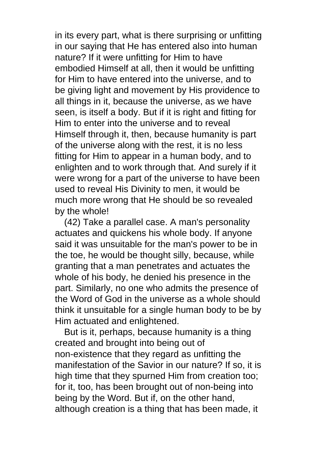in its every part, what is there surprising or unfitting in our saying that He has entered also into human nature? If it were unfitting for Him to have embodied Himself at all, then it would be unfitting for Him to have entered into the universe, and to be giving light and movement by His providence to all things in it, because the universe, as we have seen, is itself a body. But if it is right and fitting for Him to enter into the universe and to reveal Himself through it, then, because humanity is part of the universe along with the rest, it is no less fitting for Him to appear in a human body, and to enlighten and to work through that. And surely if it were wrong for a part of the universe to have been used to reveal His Divinity to men, it would be much more wrong that He should be so revealed by the whole!

(42) Take a parallel case. A man's personality actuates and quickens his whole body. If anyone said it was unsuitable for the man's power to be in the toe, he would be thought silly, because, while granting that a man penetrates and actuates the whole of his body, he denied his presence in the part. Similarly, no one who admits the presence of the Word of God in the universe as a whole should think it unsuitable for a single human body to be by Him actuated and enlightened.

But is it, perhaps, because humanity is a thing created and brought into being out of non-existence that they regard as unfitting the manifestation of the Savior in our nature? If so, it is high time that they spurned Him from creation too; for it, too, has been brought out of non-being into being by the Word. But if, on the other hand, although creation is a thing that has been made, it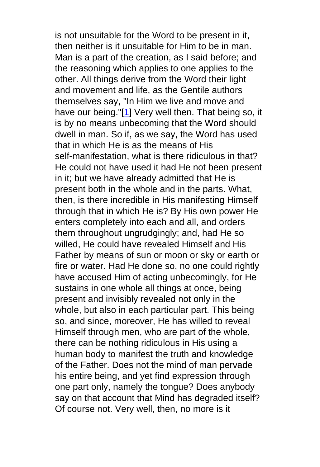is not unsuitable for the Word to be present in it, then neither is it unsuitable for Him to be in man. Man is a part of the creation, as I said before; and the reasoning which applies to one applies to the other. All things derive from the Word their light and movement and life, as the Gentile authors themselves say, "In Him we live and move and have our being."[\[1\]](#page-73-0) Very well then. That being so, it is by no means unbecoming that the Word should dwell in man. So if, as we say, the Word has used that in which He is as the means of His self-manifestation, what is there ridiculous in that? He could not have used it had He not been present in it; but we have already admitted that He is present both in the whole and in the parts. What, then, is there incredible in His manifesting Himself through that in which He is? By His own power He enters completely into each and all, and orders them throughout ungrudgingly; and, had He so willed, He could have revealed Himself and His Father by means of sun or moon or sky or earth or fire or water. Had He done so, no one could rightly have accused Him of acting unbecomingly, for He sustains in one whole all things at once, being present and invisibly revealed not only in the whole, but also in each particular part. This being so, and since, moreover, He has willed to reveal Himself through men, who are part of the whole, there can be nothing ridiculous in His using a human body to manifest the truth and knowledge of the Father. Does not the mind of man pervade his entire being, and yet find expression through one part only, namely the tongue? Does anybody say on that account that Mind has degraded itself? Of course not. Very well, then, no more is it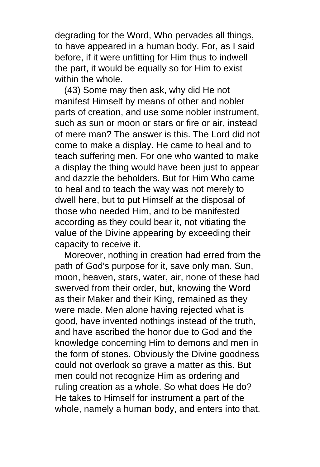degrading for the Word, Who pervades all things, to have appeared in a human body. For, as I said before, if it were unfitting for Him thus to indwell the part, it would be equally so for Him to exist within the whole.

(43) Some may then ask, why did He not manifest Himself by means of other and nobler parts of creation, and use some nobler instrument, such as sun or moon or stars or fire or air, instead of mere man? The answer is this. The Lord did not come to make a display. He came to heal and to teach suffering men. For one who wanted to make a display the thing would have been just to appear and dazzle the beholders. But for Him Who came to heal and to teach the way was not merely to dwell here, but to put Himself at the disposal of those who needed Him, and to be manifested according as they could bear it, not vitiating the value of the Divine appearing by exceeding their capacity to receive it.

Moreover, nothing in creation had erred from the path of God's purpose for it, save only man. Sun, moon, heaven, stars, water, air, none of these had swerved from their order, but, knowing the Word as their Maker and their King, remained as they were made. Men alone having rejected what is good, have invented nothings instead of the truth, and have ascribed the honor due to God and the knowledge concerning Him to demons and men in the form of stones. Obviously the Divine goodness could not overlook so grave a matter as this. But men could not recognize Him as ordering and ruling creation as a whole. So what does He do? He takes to Himself for instrument a part of the whole, namely a human body, and enters into that.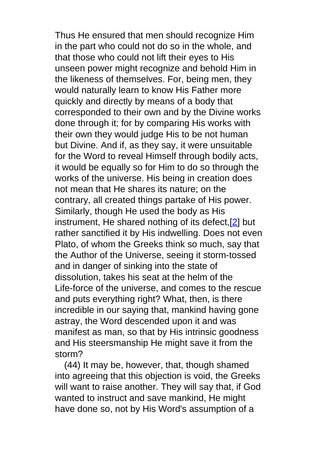Thus He ensured that men should recognize Him in the part who could not do so in the whole, and that those who could not lift their eyes to His unseen power might recognize and behold Him in the likeness of themselves. For, being men, they would naturally learn to know His Father more quickly and directly by means of a body that corresponded to their own and by the Divine works done through it; for by comparing His works with their own they would judge His to be not human but Divine. And if, as they say, it were unsuitable for the Word to reveal Himself through bodily acts, it would be equally so for Him to do so through the works of the universe. His being in creation does not mean that He shares its nature; on the contrary, all created things partake of His power. Similarly, though He used the body as His instrument, He shared nothing of its defect,[\[2\]](#page-73-0) but rather sanctified it by His indwelling. Does not even Plato, of whom the Greeks think so much, say that the Author of the Universe, seeing it storm-tossed and in danger of sinking into the state of dissolution, takes his seat at the helm of the Life-force of the universe, and comes to the rescue and puts everything right? What, then, is there incredible in our saying that, mankind having gone astray, the Word descended upon it and was manifest as man, so that by His intrinsic goodness and His steersmanship He might save it from the storm?

(44) It may be, however, that, though shamed into agreeing that this objection is void, the Greeks will want to raise another. They will say that, if God wanted to instruct and save mankind, He might have done so, not by His Word's assumption of a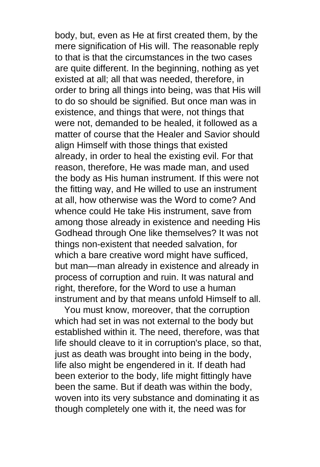body, but, even as He at first created them, by the mere signification of His will. The reasonable reply to that is that the circumstances in the two cases are quite different. In the beginning, nothing as yet existed at all; all that was needed, therefore, in order to bring all things into being, was that His will to do so should be signified. But once man was in existence, and things that were, not things that were not, demanded to be healed, it followed as a matter of course that the Healer and Savior should align Himself with those things that existed already, in order to heal the existing evil. For that reason, therefore, He was made man, and used the body as His human instrument. If this were not the fitting way, and He willed to use an instrument at all, how otherwise was the Word to come? And whence could He take His instrument, save from among those already in existence and needing His Godhead through One like themselves? It was not things non-existent that needed salvation, for which a bare creative word might have sufficed, but man—man already in existence and already in process of corruption and ruin. It was natural and right, therefore, for the Word to use a human instrument and by that means unfold Himself to all.

You must know, moreover, that the corruption which had set in was not external to the body but established within it. The need, therefore, was that life should cleave to it in corruption's place, so that, just as death was brought into being in the body, life also might be engendered in it. If death had been exterior to the body, life might fittingly have been the same. But if death was within the body, woven into its very substance and dominating it as though completely one with it, the need was for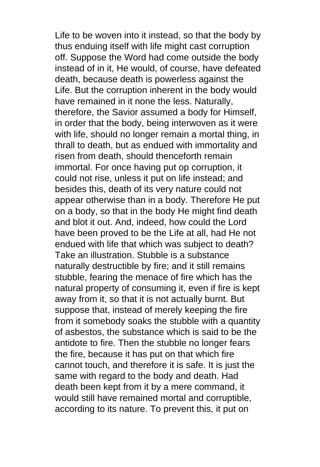Life to be woven into it instead, so that the body by thus enduing itself with life might cast corruption off. Suppose the Word had come outside the body instead of in it, He would, of course, have defeated death, because death is powerless against the Life. But the corruption inherent in the body would have remained in it none the less. Naturally, therefore, the Savior assumed a body for Himself, in order that the body, being interwoven as it were with life, should no longer remain a mortal thing, in thrall to death, but as endued with immortality and risen from death, should thenceforth remain immortal. For once having put op corruption, it could not rise, unless it put on life instead; and besides this, death of its very nature could not appear otherwise than in a body. Therefore He put on a body, so that in the body He might find death and blot it out. And, indeed, how could the Lord have been proved to be the Life at all, had He not endued with life that which was subject to death? Take an illustration. Stubble is a substance naturally destructible by fire; and it still remains stubble, fearing the menace of fire which has the natural property of consuming it, even if fire is kept away from it, so that it is not actually burnt. But suppose that, instead of merely keeping the fire from it somebody soaks the stubble with a quantity of asbestos, the substance which is said to be the antidote to fire. Then the stubble no longer fears the fire, because it has put on that which fire cannot touch, and therefore it is safe. It is just the same with regard to the body and death. Had death been kept from it by a mere command, it would still have remained mortal and corruptible, according to its nature. To prevent this, it put on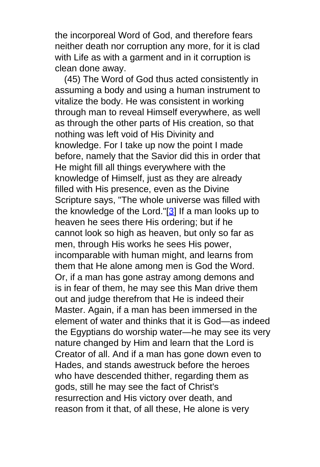the incorporeal Word of God, and therefore fears neither death nor corruption any more, for it is clad with Life as with a garment and in it corruption is clean done away.

(45) The Word of God thus acted consistently in assuming a body and using a human instrument to vitalize the body. He was consistent in working through man to reveal Himself everywhere, as well as through the other parts of His creation, so that nothing was left void of His Divinity and knowledge. For I take up now the point I made before, namely that the Savior did this in order that He might fill all things everywhere with the knowledge of Himself, just as they are already filled with His presence, even as the Divine Scripture says, "The whole universe was filled with the knowledge of the Lord." $[3]$  If a man looks up to heaven he sees there His ordering; but if he cannot look so high as heaven, but only so far as men, through His works he sees His power, incomparable with human might, and learns from them that He alone among men is God the Word. Or, if a man has gone astray among demons and is in fear of them, he may see this Man drive them out and judge therefrom that He is indeed their Master. Again, if a man has been immersed in the element of water and thinks that it is God—as indeed the Egyptians do worship water—he may see its very nature changed by Him and learn that the Lord is Creator of all. And if a man has gone down even to Hades, and stands awestruck before the heroes who have descended thither, regarding them as gods, still he may see the fact of Christ's resurrection and His victory over death, and reason from it that, of all these, He alone is very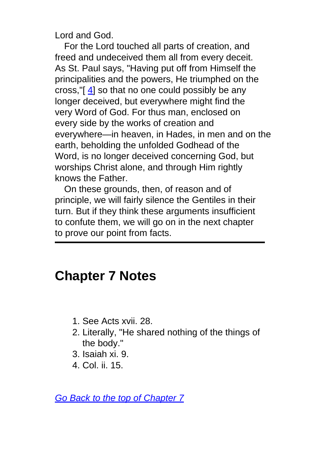<span id="page-73-0"></span>Lord and God.

For the Lord touched all parts of creation, and freed and undeceived them all from every deceit. As St. Paul says, "Having put off from Himself the principalities and the powers, He triumphed on the cross,"[ 4] so that no one could possibly be any longer deceived, but everywhere might find the very Word of God. For thus man, enclosed on every side by the works of creation and everywhere—in heaven, in Hades, in men and on the earth, beholding the unfolded Godhead of the Word, is no longer deceived concerning God, but worships Christ alone, and through Him rightly knows the Father.

On these grounds, then, of reason and of principle, we will fairly silence the Gentiles in their turn. But if they think these arguments insufficient to confute them, we will go on in the next chapter to prove our point from facts.

#### **Chapter 7 Notes**

- 1. See Acts xvii. 28.
- 2. Literally, "He shared nothing of the things of the body."
- 3. Isaiah xi. 9.
- 4. Col. ii. 15.

[Go Back to the top of Chapter 7](#page-65-0)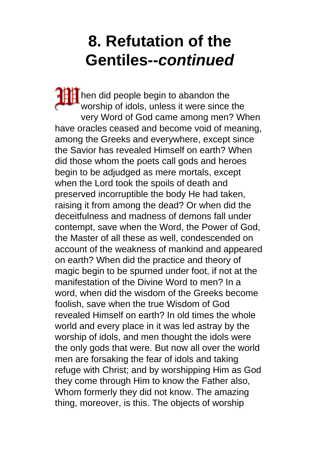# <span id="page-74-0"></span>**8. Refutation of the Gentiles--continued**

hen did people begin to abandon the worship of idols, unless it were since the very Word of God came among men? When have oracles ceased and become void of meaning, among the Greeks and everywhere, except since the Savior has revealed Himself on earth? When did those whom the poets call gods and heroes begin to be adjudged as mere mortals, except when the Lord took the spoils of death and preserved incorruptible the body He had taken, raising it from among the dead? Or when did the deceitfulness and madness of demons fall under contempt, save when the Word, the Power of God, the Master of all these as well, condescended on account of the weakness of mankind and appeared on earth? When did the practice and theory of magic begin to be spurned under foot, if not at the manifestation of the Divine Word to men? In a word, when did the wisdom of the Greeks become foolish, save when the true Wisdom of God revealed Himself on earth? In old times the whole world and every place in it was led astray by the worship of idols, and men thought the idols were the only gods that were. But now all over the world men are forsaking the fear of idols and taking refuge with Christ; and by worshipping Him as God they come through Him to know the Father also, Whom formerly they did not know. The amazing thing, moreover, is this. The objects of worship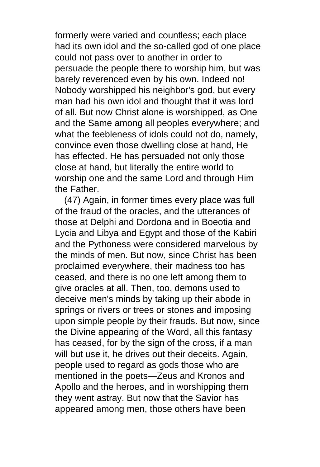formerly were varied and countless; each place had its own idol and the so-called god of one place could not pass over to another in order to persuade the people there to worship him, but was barely reverenced even by his own. Indeed no! Nobody worshipped his neighbor's god, but every man had his own idol and thought that it was lord of all. But now Christ alone is worshipped, as One and the Same among all peoples everywhere; and what the feebleness of idols could not do, namely, convince even those dwelling close at hand, He has effected. He has persuaded not only those close at hand, but literally the entire world to worship one and the same Lord and through Him the Father.

(47) Again, in former times every place was full of the fraud of the oracles, and the utterances of those at Delphi and Dordona and in Boeotia and Lycia and Libya and Egypt and those of the Kabiri and the Pythoness were considered marvelous by the minds of men. But now, since Christ has been proclaimed everywhere, their madness too has ceased, and there is no one left among them to give oracles at all. Then, too, demons used to deceive men's minds by taking up their abode in springs or rivers or trees or stones and imposing upon simple people by their frauds. But now, since the Divine appearing of the Word, all this fantasy has ceased, for by the sign of the cross, if a man will but use it, he drives out their deceits. Again, people used to regard as gods those who are mentioned in the poets—Zeus and Kronos and Apollo and the heroes, and in worshipping them they went astray. But now that the Savior has appeared among men, those others have been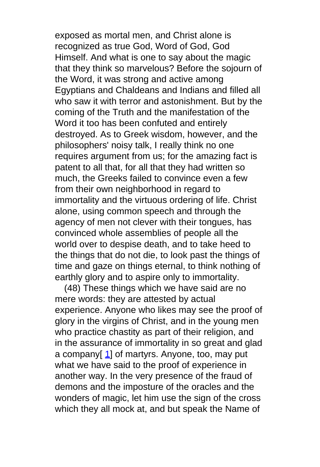exposed as mortal men, and Christ alone is recognized as true God, Word of God, God Himself. And what is one to say about the magic that they think so marvelous? Before the sojourn of the Word, it was strong and active among Egyptians and Chaldeans and Indians and filled all who saw it with terror and astonishment. But by the coming of the Truth and the manifestation of the Word it too has been confuted and entirely destroyed. As to Greek wisdom, however, and the philosophers' noisy talk, I really think no one requires argument from us; for the amazing fact is patent to all that, for all that they had written so much, the Greeks failed to convince even a few from their own neighborhood in regard to immortality and the virtuous ordering of life. Christ alone, using common speech and through the agency of men not clever with their tongues, has convinced whole assemblies of people all the world over to despise death, and to take heed to the things that do not die, to look past the things of time and gaze on things eternal, to think nothing of earthly glory and to aspire only to immortality.

(48) These things which we have said are no mere words: they are attested by actual experience. Anyone who likes may see the proof of glory in the virgins of Christ, and in the young men who practice chastity as part of their religion, and in the assurance of immortality in so great and glad a company  $\left( \frac{1}{2} \right)$  $\left( \frac{1}{2} \right)$  $\left( \frac{1}{2} \right)$  of martyrs. Anyone, too, may put what we have said to the proof of experience in another way. In the very presence of the fraud of demons and the imposture of the oracles and the wonders of magic, let him use the sign of the cross which they all mock at, and but speak the Name of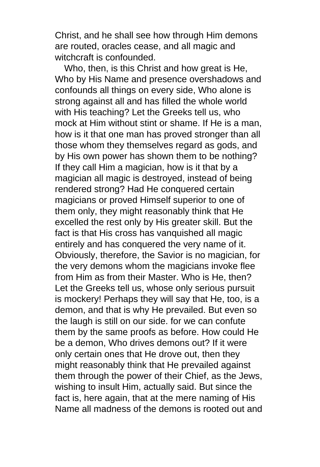Christ, and he shall see how through Him demons are routed, oracles cease, and all magic and witchcraft is confounded.

Who, then, is this Christ and how great is He, Who by His Name and presence overshadows and confounds all things on every side, Who alone is strong against all and has filled the whole world with His teaching? Let the Greeks tell us, who mock at Him without stint or shame. If He is a man, how is it that one man has proved stronger than all those whom they themselves regard as gods, and by His own power has shown them to be nothing? If they call Him a magician, how is it that by a magician all magic is destroyed, instead of being rendered strong? Had He conquered certain magicians or proved Himself superior to one of them only, they might reasonably think that He excelled the rest only by His greater skill. But the fact is that His cross has vanquished all magic entirely and has conquered the very name of it. Obviously, therefore, the Savior is no magician, for the very demons whom the magicians invoke flee from Him as from their Master. Who is He, then? Let the Greeks tell us, whose only serious pursuit is mockery! Perhaps they will say that He, too, is a demon, and that is why He prevailed. But even so the laugh is still on our side. for we can confute them by the same proofs as before. How could He be a demon, Who drives demons out? If it were only certain ones that He drove out, then they might reasonably think that He prevailed against them through the power of their Chief, as the Jews, wishing to insult Him, actually said. But since the fact is, here again, that at the mere naming of His Name all madness of the demons is rooted out and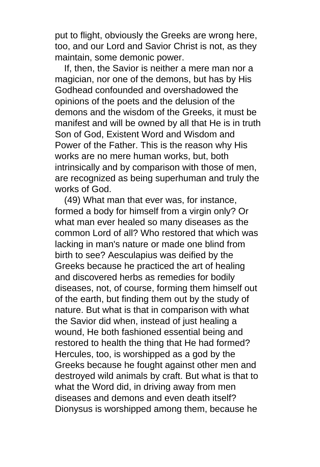put to flight, obviously the Greeks are wrong here, too, and our Lord and Savior Christ is not, as they maintain, some demonic power.

If, then, the Savior is neither a mere man nor a magician, nor one of the demons, but has by His Godhead confounded and overshadowed the opinions of the poets and the delusion of the demons and the wisdom of the Greeks, it must be manifest and will be owned by all that He is in truth Son of God, Existent Word and Wisdom and Power of the Father. This is the reason why His works are no mere human works, but, both intrinsically and by comparison with those of men, are recognized as being superhuman and truly the works of God.

(49) What man that ever was, for instance, formed a body for himself from a virgin only? Or what man ever healed so many diseases as the common Lord of all? Who restored that which was lacking in man's nature or made one blind from birth to see? Aesculapius was deified by the Greeks because he practiced the art of healing and discovered herbs as remedies for bodily diseases, not, of course, forming them himself out of the earth, but finding them out by the study of nature. But what is that in comparison with what the Savior did when, instead of just healing a wound, He both fashioned essential being and restored to health the thing that He had formed? Hercules, too, is worshipped as a god by the Greeks because he fought against other men and destroyed wild animals by craft. But what is that to what the Word did, in driving away from men diseases and demons and even death itself? Dionysus is worshipped among them, because he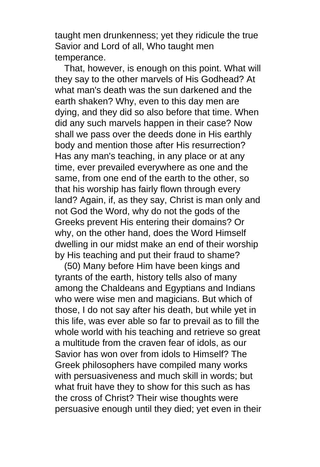taught men drunkenness; yet they ridicule the true Savior and Lord of all, Who taught men temperance.

That, however, is enough on this point. What will they say to the other marvels of His Godhead? At what man's death was the sun darkened and the earth shaken? Why, even to this day men are dying, and they did so also before that time. When did any such marvels happen in their case? Now shall we pass over the deeds done in His earthly body and mention those after His resurrection? Has any man's teaching, in any place or at any time, ever prevailed everywhere as one and the same, from one end of the earth to the other, so that his worship has fairly flown through every land? Again, if, as they say, Christ is man only and not God the Word, why do not the gods of the Greeks prevent His entering their domains? Or why, on the other hand, does the Word Himself dwelling in our midst make an end of their worship by His teaching and put their fraud to shame?

(50) Many before Him have been kings and tyrants of the earth, history tells also of many among the Chaldeans and Egyptians and Indians who were wise men and magicians. But which of those, I do not say after his death, but while yet in this life, was ever able so far to prevail as to fill the whole world with his teaching and retrieve so great a multitude from the craven fear of idols, as our Savior has won over from idols to Himself? The Greek philosophers have compiled many works with persuasiveness and much skill in words; but what fruit have they to show for this such as has the cross of Christ? Their wise thoughts were persuasive enough until they died; yet even in their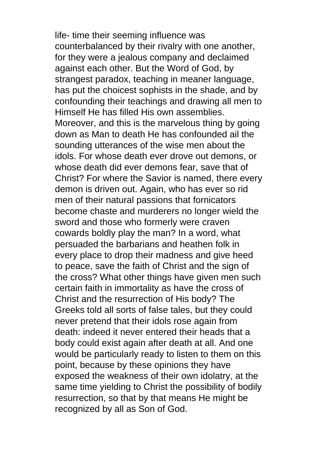life- time their seeming influence was counterbalanced by their rivalry with one another, for they were a jealous company and declaimed against each other. But the Word of God, by strangest paradox, teaching in meaner language, has put the choicest sophists in the shade, and by confounding their teachings and drawing all men to Himself He has filled His own assemblies. Moreover, and this is the marvelous thing by going down as Man to death He has confounded ail the sounding utterances of the wise men about the idols. For whose death ever drove out demons, or whose death did ever demons fear, save that of Christ? For where the Savior is named, there every demon is driven out. Again, who has ever so rid men of their natural passions that fornicators become chaste and murderers no longer wield the sword and those who formerly were craven cowards boldly play the man? In a word, what persuaded the barbarians and heathen folk in every place to drop their madness and give heed to peace, save the faith of Christ and the sign of the cross? What other things have given men such certain faith in immortality as have the cross of Christ and the resurrection of His body? The Greeks told all sorts of false tales, but they could never pretend that their idols rose again from death: indeed it never entered their heads that a body could exist again after death at all. And one would be particularly ready to listen to them on this point, because by these opinions they have exposed the weakness of their own idolatry, at the same time yielding to Christ the possibility of bodily resurrection, so that by that means He might be recognized by all as Son of God.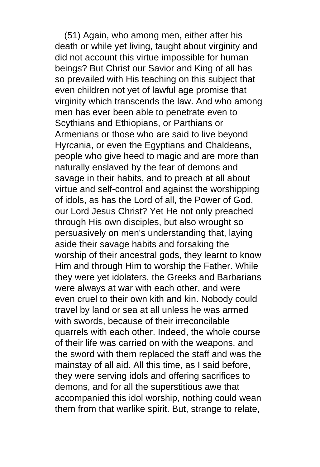(51) Again, who among men, either after his death or while yet living, taught about virginity and did not account this virtue impossible for human beings? But Christ our Savior and King of all has so prevailed with His teaching on this subject that even children not yet of lawful age promise that virginity which transcends the law. And who among men has ever been able to penetrate even to Scythians and Ethiopians, or Parthians or Armenians or those who are said to live beyond Hyrcania, or even the Egyptians and Chaldeans, people who give heed to magic and are more than naturally enslaved by the fear of demons and savage in their habits, and to preach at all about virtue and self-control and against the worshipping of idols, as has the Lord of all, the Power of God, our Lord Jesus Christ? Yet He not only preached through His own disciples, but also wrought so persuasively on men's understanding that, laying aside their savage habits and forsaking the worship of their ancestral gods, they learnt to know Him and through Him to worship the Father. While they were yet idolaters, the Greeks and Barbarians were always at war with each other, and were even cruel to their own kith and kin. Nobody could travel by land or sea at all unless he was armed with swords, because of their irreconcilable quarrels with each other. Indeed, the whole course of their life was carried on with the weapons, and the sword with them replaced the staff and was the mainstay of all aid. All this time, as I said before, they were serving idols and offering sacrifices to demons, and for all the superstitious awe that accompanied this idol worship, nothing could wean them from that warlike spirit. But, strange to relate,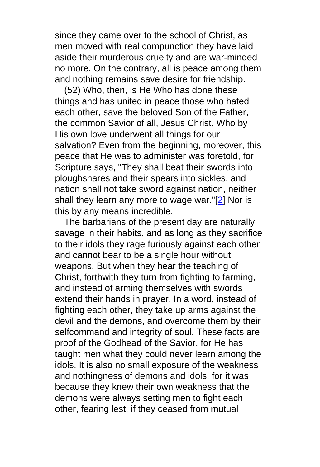since they came over to the school of Christ, as men moved with real compunction they have laid aside their murderous cruelty and are war-minded no more. On the contrary, all is peace among them and nothing remains save desire for friendship.

(52) Who, then, is He Who has done these things and has united in peace those who hated each other, save the beloved Son of the Father, the common Savior of all, Jesus Christ, Who by His own love underwent all things for our salvation? Even from the beginning, moreover, this peace that He was to administer was foretold, for Scripture says, "They shall beat their swords into ploughshares and their spears into sickles, and nation shall not take sword against nation, neither shall they learn any more to wage war." $[2]$  Nor is this by any means incredible.

The barbarians of the present day are naturally savage in their habits, and as long as they sacrifice to their idols they rage furiously against each other and cannot bear to be a single hour without weapons. But when they hear the teaching of Christ, forthwith they turn from fighting to farming, and instead of arming themselves with swords extend their hands in prayer. In a word, instead of fighting each other, they take up arms against the devil and the demons, and overcome them by their selfcommand and integrity of soul. These facts are proof of the Godhead of the Savior, for He has taught men what they could never learn among the idols. It is also no small exposure of the weakness and nothingness of demons and idols, for it was because they knew their own weakness that the demons were always setting men to fight each other, fearing lest, if they ceased from mutual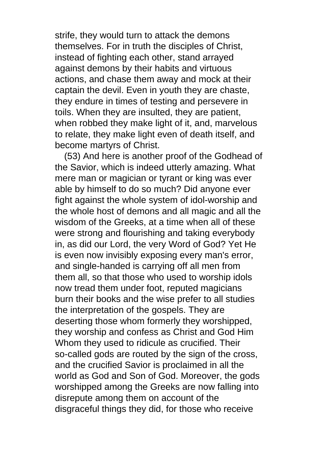strife, they would turn to attack the demons themselves. For in truth the disciples of Christ, instead of fighting each other, stand arrayed against demons by their habits and virtuous actions, and chase them away and mock at their captain the devil. Even in youth they are chaste, they endure in times of testing and persevere in toils. When they are insulted, they are patient, when robbed they make light of it, and, marvelous to relate, they make light even of death itself, and become martyrs of Christ.

(53) And here is another proof of the Godhead of the Savior, which is indeed utterly amazing. What mere man or magician or tyrant or king was ever able by himself to do so much? Did anyone ever fight against the whole system of idol-worship and the whole host of demons and all magic and all the wisdom of the Greeks, at a time when all of these were strong and flourishing and taking everybody in, as did our Lord, the very Word of God? Yet He is even now invisibly exposing every man's error, and single-handed is carrying off all men from them all, so that those who used to worship idols now tread them under foot, reputed magicians burn their books and the wise prefer to all studies the interpretation of the gospels. They are deserting those whom formerly they worshipped, they worship and confess as Christ and God Him Whom they used to ridicule as crucified. Their so-called gods are routed by the sign of the cross, and the crucified Savior is proclaimed in all the world as God and Son of God. Moreover, the gods worshipped among the Greeks are now falling into disrepute among them on account of the disgraceful things they did, for those who receive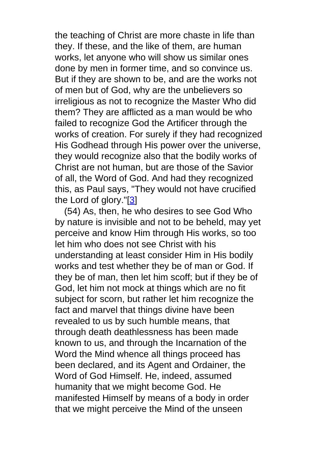the teaching of Christ are more chaste in life than they. If these, and the like of them, are human works, let anyone who will show us similar ones done by men in former time, and so convince us. But if they are shown to be, and are the works not of men but of God, why are the unbelievers so irreligious as not to recognize the Master Who did them? They are afflicted as a man would be who failed to recognize God the Artificer through the works of creation. For surely if they had recognized His Godhead through His power over the universe, they would recognize also that the bodily works of Christ are not human, but are those of the Savior of all, the Word of God. And had they recognized this, as Paul says, "They would not have crucified the Lord of glory." $[3]$  $[3]$  $[3]$ 

(54) As, then, he who desires to see God Who by nature is invisible and not to be beheld, may yet perceive and know Him through His works, so too let him who does not see Christ with his understanding at least consider Him in His bodily works and test whether they be of man or God. If they be of man, then let him scoff; but if they be of God, let him not mock at things which are no fit subject for scorn, but rather let him recognize the fact and marvel that things divine have been revealed to us by such humble means, that through death deathlessness has been made known to us, and through the Incarnation of the Word the Mind whence all things proceed has been declared, and its Agent and Ordainer, the Word of God Himself. He, indeed, assumed humanity that we might become God. He manifested Himself by means of a body in order that we might perceive the Mind of the unseen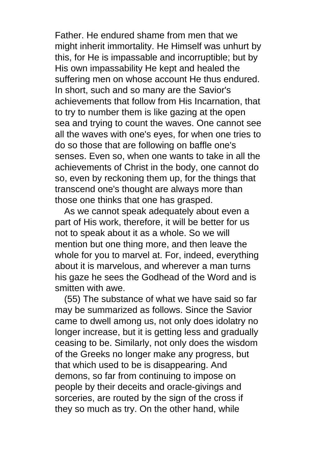Father. He endured shame from men that we might inherit immortality. He Himself was unhurt by this, for He is impassable and incorruptible; but by His own impassability He kept and healed the suffering men on whose account He thus endured. In short, such and so many are the Savior's achievements that follow from His Incarnation, that to try to number them is like gazing at the open sea and trying to count the waves. One cannot see all the waves with one's eyes, for when one tries to do so those that are following on baffle one's senses. Even so, when one wants to take in all the achievements of Christ in the body, one cannot do so, even by reckoning them up, for the things that transcend one's thought are always more than those one thinks that one has grasped.

As we cannot speak adequately about even a part of His work, therefore, it will be better for us not to speak about it as a whole. So we will mention but one thing more, and then leave the whole for you to marvel at. For, indeed, everything about it is marvelous, and wherever a man turns his gaze he sees the Godhead of the Word and is smitten with awe.

(55) The substance of what we have said so far may be summarized as follows. Since the Savior came to dwell among us, not only does idolatry no longer increase, but it is getting less and gradually ceasing to be. Similarly, not only does the wisdom of the Greeks no longer make any progress, but that which used to be is disappearing. And demons, so far from continuing to impose on people by their deceits and oracle-givings and sorceries, are routed by the sign of the cross if they so much as try. On the other hand, while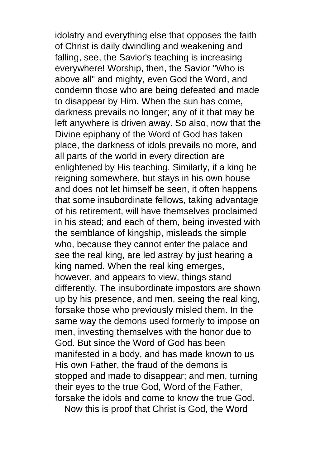idolatry and everything else that opposes the faith of Christ is daily dwindling and weakening and falling, see, the Savior's teaching is increasing everywhere! Worship, then, the Savior "Who is above all" and mighty, even God the Word, and condemn those who are being defeated and made to disappear by Him. When the sun has come, darkness prevails no longer; any of it that may be left anywhere is driven away. So also, now that the Divine epiphany of the Word of God has taken place, the darkness of idols prevails no more, and all parts of the world in every direction are enlightened by His teaching. Similarly, if a king be reigning somewhere, but stays in his own house and does not let himself be seen, it often happens that some insubordinate fellows, taking advantage of his retirement, will have themselves proclaimed in his stead; and each of them, being invested with the semblance of kingship, misleads the simple who, because they cannot enter the palace and see the real king, are led astray by just hearing a king named. When the real king emerges, however, and appears to view, things stand differently. The insubordinate impostors are shown up by his presence, and men, seeing the real king, forsake those who previously misled them. In the same way the demons used formerly to impose on men, investing themselves with the honor due to God. But since the Word of God has been manifested in a body, and has made known to us His own Father, the fraud of the demons is stopped and made to disappear; and men, turning their eyes to the true God, Word of the Father, forsake the idols and come to know the true God.

Now this is proof that Christ is God, the Word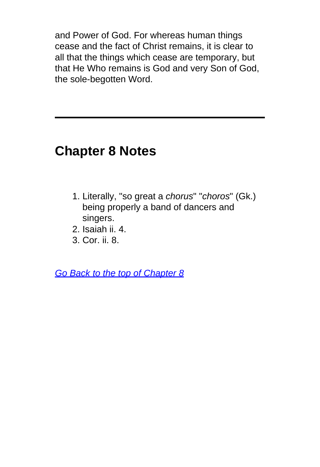<span id="page-87-0"></span>and Power of God. For whereas human things cease and the fact of Christ remains, it is clear to all that the things which cease are temporary, but that He Who remains is God and very Son of God, the sole-begotten Word.

### **Chapter 8 Notes**

- 1. Literally, "so great a chorus" "choros" (Gk.) being properly a band of dancers and singers.
- 2. Isaiah ii. 4.
- 3. Cor. ii. 8.

[Go Back to the top of Chapter 8](#page-74-0)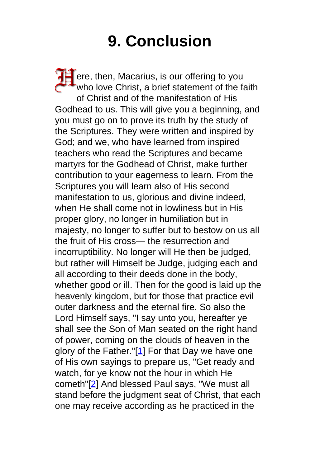# **9. Conclusion**

 $\mathbf{F}$  ere, then, Macarius, is our offering to you who love Christ, a brief statement of the faith of Christ and of the manifestation of His Godhead to us. This will give you a beginning, and you must go on to prove its truth by the study of the Scriptures. They were written and inspired by God; and we, who have learned from inspired teachers who read the Scriptures and became martyrs for the Godhead of Christ, make further contribution to your eagerness to learn. From the Scriptures you will learn also of His second manifestation to us, glorious and divine indeed, when He shall come not in lowliness but in His proper glory, no longer in humiliation but in majesty, no longer to suffer but to bestow on us all the fruit of His cross— the resurrection and incorruptibility. No longer will He then be judged, but rather will Himself be Judge, judging each and all according to their deeds done in the body, whether good or ill. Then for the good is laid up the heavenly kingdom, but for those that practice evil outer darkness and the eternal fire. So also the Lord Himself says, "I say unto you, hereafter ye shall see the Son of Man seated on the right hand of power, coming on the clouds of heaven in the glory of the Father." $[1]$  For that Day we have one of His own sayings to prepare us, "Get ready and watch, for ye know not the hour in which He cometh"[[2\]](#page-90-0) And blessed Paul says, "We must all stand before the judgment seat of Christ, that each one may receive according as he practiced in the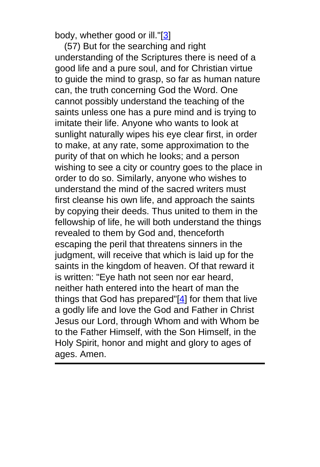body, whether good or ill."[[3](#page-90-0)]

(57) But for the searching and right understanding of the Scriptures there is need of a good life and a pure soul, and for Christian virtue to guide the mind to grasp, so far as human nature can, the truth concerning God the Word. One cannot possibly understand the teaching of the saints unless one has a pure mind and is trying to imitate their life. Anyone who wants to look at sunlight naturally wipes his eye clear first, in order to make, at any rate, some approximation to the purity of that on which he looks; and a person wishing to see a city or country goes to the place in order to do so. Similarly, anyone who wishes to understand the mind of the sacred writers must first cleanse his own life, and approach the saints by copying their deeds. Thus united to them in the fellowship of life, he will both understand the things revealed to them by God and, thenceforth escaping the peril that threatens sinners in the judgment, will receive that which is laid up for the saints in the kingdom of heaven. Of that reward it is written: "Eye hath not seen nor ear heard, neither hath entered into the heart of man the things that God has prepared" $[4]$  for them that live a godly life and love the God and Father in Christ Jesus our Lord, through Whom and with Whom be to the Father Himself, with the Son Himself, in the Holy Spirit, honor and might and glory to ages of ages. Amen.